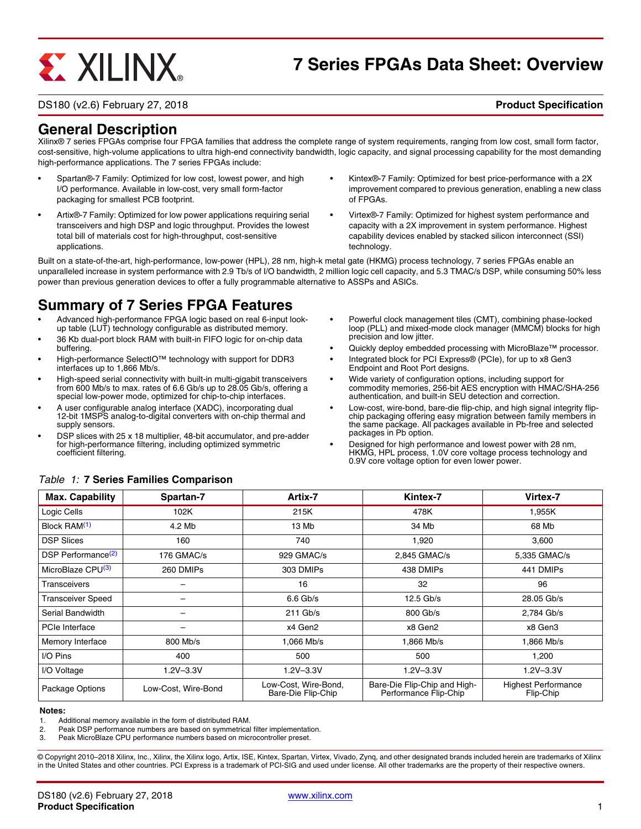# **EXALINX**

# **7 Series FPGAs Data Sheet: Overview**

#### DS180 (v2.6) February 27, 2018 **Product Specification**

# **General Description**

Xilinx® 7 series FPGAs comprise four FPGA families that address the complete range of system requirements, ranging from low cost, small form factor, cost-sensitive, high-volume applications to ultra high-end connectivity bandwidth, logic capacity, and signal processing capability for the most demanding high-performance applications. The 7 series FPGAs include:

- Spartan®-7 Family: Optimized for low cost, lowest power, and high I/O performance. Available in low-cost, very small form-factor packaging for smallest PCB footprint.
- Artix®-7 Family: Optimized for low power applications requiring serial transceivers and high DSP and logic throughput. Provides the lowest total bill of materials cost for high-throughput, cost-sensitive applications.
- Kintex®-7 Family: Optimized for best price-performance with a 2X improvement compared to previous generation, enabling a new class of FPGAs.
- Virtex®-7 Family: Optimized for highest system performance and capacity with a 2X improvement in system performance. Highest capability devices enabled by stacked silicon interconnect (SSI) technology.

Built on a state-of-the-art, high-performance, low-power (HPL), 28 nm, high-k metal gate (HKMG) process technology, 7 series FPGAs enable an unparalleled increase in system performance with 2.9 Tb/s of I/O bandwidth, 2 million logic cell capacity, and 5.3 TMAC/s DSP, while consuming 50% less power than previous generation devices to offer a fully programmable alternative to ASSPs and ASICs.

# **Summary of 7 Series FPGA Features**

- Advanced high-performance FPGA logic based on real 6-input lookup table (LUT) technology configurable as distributed memory.
- 36 Kb dual-port block RAM with built-in FIFO logic for on-chip data buffering.
- High-performance SelectIO™ technology with support for DDR3 interfaces up to 1,866 Mb/s.
- High-speed serial connectivity with built-in multi-gigabit transceivers from 600 Mb/s to max. rates of 6.6 Gb/s up to 28.05 Gb/s, offering a special low-power mode, optimized for chip-to-chip interfaces.
- A user configurable analog interface (XADC), incorporating dual 12-bit 1MSPS analog-to-digital converters with on-chip thermal and supply sensors.
- DSP slices with 25 x 18 multiplier, 48-bit accumulator, and pre-adder for high-performance filtering, including optimized symmetric coefficient filtering.
- Powerful clock management tiles (CMT), combining phase-locked loop (PLL) and mixed-mode clock manager (MMCM) blocks for high precision and low jitter.
- Quickly deploy embedded processing with MicroBlaze<sup>™</sup> processor.
- Integrated block for PCI Express® (PCIe), for up to x8 Gen3 Endpoint and Root Port designs.
- Wide variety of configuration options, including support for commodity memories, 256-bit AES encryption with HMAC/SHA-256 authentication, and built-in SEU detection and correction.
- Low-cost, wire-bond, bare-die flip-chip, and high signal integrity flipchip packaging offering easy migration between family members in the same package. All packages available in Pb-free and selected packages in Pb option.
- Designed for high performance and lowest power with 28 nm, HKMG, HPL process, 1.0V core voltage process technology and 0.9V core voltage option for even lower power.

| <b>Max. Capability</b>         | Spartan-7           | Artix-7                                    | Kintex-7                                              | Virtex-7                                |
|--------------------------------|---------------------|--------------------------------------------|-------------------------------------------------------|-----------------------------------------|
| Logic Cells                    | 102K                | 215K                                       | 478K                                                  | 1.955K                                  |
| Block RAM <sup>(1)</sup>       | 4.2 Mb              | 13 Mb                                      | 34 Mb                                                 | 68 Mb                                   |
| <b>DSP Slices</b>              | 160                 | 740                                        | 1,920                                                 | 3,600                                   |
| DSP Performance <sup>(2)</sup> | 176 GMAC/s          | 929 GMAC/s                                 | 2.845 GMAC/s                                          | 5,335 GMAC/s                            |
| MicroBlaze CPU <sup>(3)</sup>  | 260 DMIPs           | 303 DMIPs                                  | 438 DMIPs                                             | 441 DMIPs                               |
| <b>Transceivers</b>            |                     | 16                                         | 32                                                    | 96                                      |
| <b>Transceiver Speed</b>       |                     | $6.6$ Gb/s                                 | $12.5$ Gb/s                                           | 28.05 Gb/s                              |
| Serial Bandwidth               |                     | $211$ Gb/s                                 | 800 Gb/s                                              | 2,784 Gb/s                              |
| PCIe Interface                 |                     | x4 Gen2                                    | x8 Gen2                                               | x8 Gen3                                 |
| Memory Interface               | 800 Mb/s            | 1,066 Mb/s                                 | 1,866 Mb/s                                            | 1,866 Mb/s                              |
| I/O Pins                       | 400                 | 500                                        | 500                                                   | 1,200                                   |
| I/O Voltage                    | $1.2V - 3.3V$       | $1.2V - 3.3V$                              | $1.2V - 3.3V$                                         | $1.2V - 3.3V$                           |
| Package Options                | Low-Cost. Wire-Bond | Low-Cost, Wire-Bond,<br>Bare-Die Flip-Chip | Bare-Die Flip-Chip and High-<br>Performance Flip-Chip | <b>Highest Performance</b><br>Flip-Chip |

#### *Table 1:* **7 Series Families Comparison**

#### **Notes:**

1. Additional memory available in the form of distributed RAM.

2. Peak DSP performance numbers are based on symmetrical filter implementation.<br>3. Peak MicroBlaze CPU performance numbers based on microcontroller preset.

Peak MicroBlaze CPU performance numbers based on microcontroller preset.

© Copyright 2010–2018 Xilinx, Inc., Xilinx, the Xilinx logo, Artix, ISE, Kintex, Spartan, Virtex, Vivado, Zynq, and other designated brands included herein are trademarks of Xilinx in the United States and other countries. PCI Express is a trademark of PCI-SIG and used under license. All other trademarks are the property of their respective owners.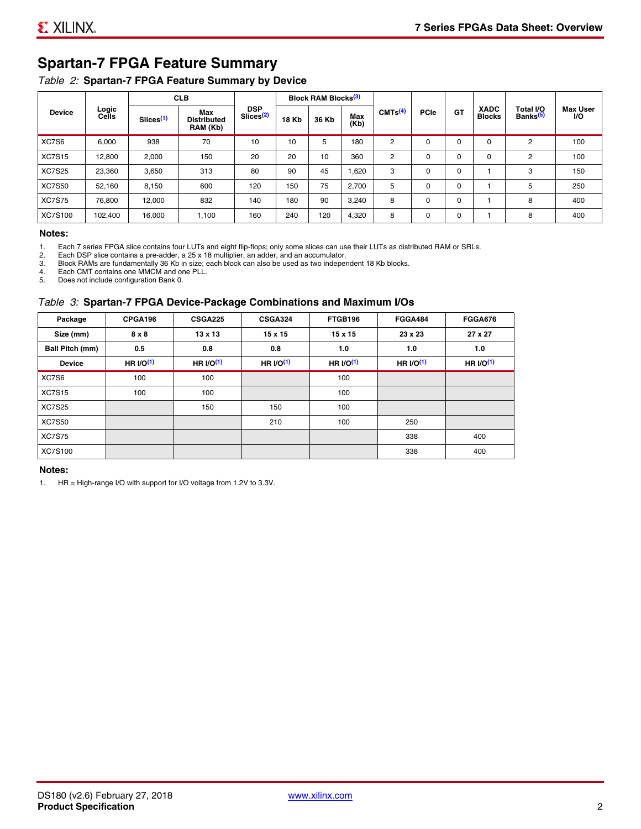# **Spartan-7 FPGA Feature Summary**

#### *Table 2:* **Spartan-7 FPGA Feature Summary by Device**

|                |                |                       | <b>CLB</b>                            |                                     |              | <b>Block RAM Blocks</b> <sup>(3)</sup> |             |                     |             |             |                              |                                   |                               |
|----------------|----------------|-----------------------|---------------------------------------|-------------------------------------|--------------|----------------------------------------|-------------|---------------------|-------------|-------------|------------------------------|-----------------------------------|-------------------------------|
| <b>Device</b>  | Logic<br>Cells | Slices <sup>(1)</sup> | Max<br><b>Distributed</b><br>RAM (Kb) | <b>DSP</b><br>Slices <sup>(2)</sup> | <b>18 Kb</b> | 36 Kb                                  | Max<br>(Kb) | CMTS <sup>(4)</sup> | <b>PCle</b> | GT          | <b>XADC</b><br><b>Blocks</b> | Total I/O<br>Banks <sup>(5)</sup> | <b>Max User</b><br><b>I/O</b> |
| XC7S6          | 6,000          | 938                   | 70                                    | 10                                  | 10           | 5                                      | 180         | 2                   | $\Omega$    | $\Omega$    | 0                            | 2                                 | 100                           |
| <b>XC7S15</b>  | 12,800         | 2,000                 | 150                                   | 20                                  | 20           | 10                                     | 360         | 2                   | 0           | 0           | 0                            | 2                                 | 100                           |
| <b>XC7S25</b>  | 23,360         | 3,650                 | 313                                   | 80                                  | 90           | 45                                     | 0.620       | 3                   | 0           | 0           |                              | 3                                 | 150                           |
| <b>XC7S50</b>  | 52,160         | 8,150                 | 600                                   | 120                                 | 150          | 75                                     | 2,700       | 5                   | 0           | $\Omega$    |                              | 5                                 | 250                           |
| <b>XC7S75</b>  | 76,800         | 12,000                | 832                                   | 140                                 | 180          | 90                                     | 3,240       | 8                   | 0           | $\mathbf 0$ |                              | 8                                 | 400                           |
| <b>XC7S100</b> | 102,400        | 16,000                | 1,100                                 | 160                                 | 240          | 120                                    | 4,320       | 8                   | 0           | $\mathbf 0$ |                              | 8                                 | 400                           |

#### **Notes:**

1. Each 7 series FPGA slice contains four LUTs and eight flip-flops; only some slices can use their LUTs as distributed RAM or SRLs.<br>2. Each DSP slice contains a pre-adder. a 25 x 18 multiplier. an adder. and an accumulato

2. Each DSP slice contains a pre-adder, a 25 x 18 multiplier, an adder, and an accumulator. 3. Block RAMs are fundamentally 36 Kb in size; each block can also be used as two independent 18 Kb blocks.

4. Each CMT contains one MMCM and one PLL.

5. Does not include configuration Bank 0.

#### *Table 3:* **Spartan-7 FPGA Device-Package Combinations and Maximum I/Os**

| Package                | CPGA196      | <b>CSGA225</b> | <b>CSGA324</b> | FTGB196    | <b>FGGA484</b> | <b>FGGA676</b> |
|------------------------|--------------|----------------|----------------|------------|----------------|----------------|
| Size (mm)              | $8 \times 8$ | $13 \times 13$ | $15 \times 15$ | 15 x 15    | 23 x 23        | 27 x 27        |
| <b>Ball Pitch (mm)</b> | 0.5          | 0.8            | 0.8            | 1.0        | 1.0            | 1.0            |
| <b>Device</b>          | HR $UO(1)$   | HR $UO(1)$     | HR $UO(1)$     | HR $UO(1)$ | HR $I/O(1)$    | HR $l/O(1)$    |
| XC7S6                  | 100          | 100            |                | 100        |                |                |
| <b>XC7S15</b>          | 100          | 100            |                | 100        |                |                |
| <b>XC7S25</b>          |              | 150            | 150            | 100        |                |                |
| <b>XC7S50</b>          |              |                | 210            | 100        | 250            |                |
| <b>XC7S75</b>          |              |                |                |            | 338            | 400            |
| <b>XC7S100</b>         |              |                |                |            | 338            | 400            |

#### **Notes:**

1. HR = High-range I/O with support for I/O voltage from 1.2V to 3.3V.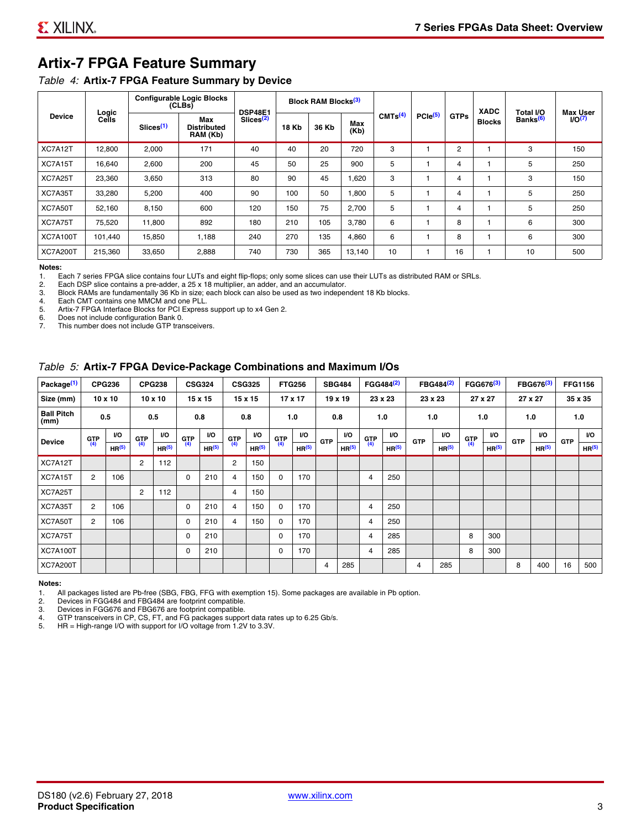# **Artix-7 FPGA Feature Summary**

#### *Table 4:* **Artix-7 FPGA Feature Summary by Device**

|                 |                |                       | <b>Configurable Logic Blocks</b><br>(CLBs) | <b>DSP48E1</b>        |              | <b>Block RAM Blocks</b> <sup>(3)</sup> |             |                     |                     |                | <b>XADC</b>   | Total I/O            | Max User |
|-----------------|----------------|-----------------------|--------------------------------------------|-----------------------|--------------|----------------------------------------|-------------|---------------------|---------------------|----------------|---------------|----------------------|----------|
| <b>Device</b>   | Logic<br>Cells | Slices <sup>(1)</sup> | Max<br><b>Distributed</b><br>RAM (Kb)      | Slices <sup>(2)</sup> | <b>18 Kb</b> | 36 Kb                                  | Max<br>(Kb) | CMTS <sup>(4)</sup> | PCle <sup>(5)</sup> | <b>GTPs</b>    | <b>Blocks</b> | Banks <sup>(6)</sup> | I/O(7)   |
| XC7A12T         | 12,800         | 2,000                 | 171                                        | 40                    | 40           | 20                                     | 720         | 3                   |                     | $\overline{2}$ |               | 3                    | 150      |
| XC7A15T         | 16,640         | 2,600                 | 200                                        | 45                    | 50           | 25                                     | 900         | 5                   |                     | 4              |               | 5                    | 250      |
| XC7A25T         | 23,360         | 3,650                 | 313                                        | 80                    | 90           | 45                                     | .620        | 3                   |                     | 4              |               | 3                    | 150      |
| XC7A35T         | 33,280         | 5,200                 | 400                                        | 90                    | 100          | 50                                     | 008,        | 5                   |                     | 4              |               | 5                    | 250      |
| XC7A50T         | 52,160         | 8,150                 | 600                                        | 120                   | 150          | 75                                     | 2,700       | 5                   |                     | 4              |               | 5                    | 250      |
| XC7A75T         | 75,520         | 11,800                | 892                                        | 180                   | 210          | 105                                    | 3,780       | 6                   |                     | 8              |               | 6                    | 300      |
| <b>XC7A100T</b> | 101.440        | 15,850                | 1.188                                      | 240                   | 270          | 135                                    | 4,860       | 6                   |                     | 8              |               | 6                    | 300      |
| <b>XC7A200T</b> | 215,360        | 33,650                | 2,888                                      | 740                   | 730          | 365                                    | 13,140      | 10                  |                     | 16             |               | 10                   | 500      |

**Notes:**  Each 7 series FPGA slice contains four LUTs and eight flip-flops; only some slices can use their LUTs as distributed RAM or SRLs.

2. Each DSP slice contains a pre-adder, a 25 x 18 multiplier, an adder, and an accumulator.

3. Block RAMs are fundamentally 36 Kb in size; each block can also be used as two independent 18 Kb blocks.

4. Each CMT contains one MMCM and one PLL.<br>5. Artix-7 FPGA Interface Blocks for PCI Express

5. Artix-7 FPGA Interface Blocks for PCI Express support up to x4 Gen 2.<br>6. Does not include configuration Bank 0.

6. Does not include configuration Bank 0.<br>7 This number does not include GTP tran

This number does not include GTP transceivers.

#### *Table 5:* **Artix-7 FPGA Device-Package Combinations and Maximum I/Os**

| Package <sup>(1)</sup>    |            | <b>CPG236</b>     |                | <b>CPG238</b>  |            | <b>CSG324</b> |                | <b>CSG325</b>     |       | <b>FTG256</b>     |            | <b>SBG484</b>     |                | FGG484 <sup>(2)</sup> |                | FBG484 <sup>(2)</sup> |       | FGG676 <sup>(3)</sup> |            | FBG676 <sup>(3)</sup> |            | <b>FFG1156</b> |
|---------------------------|------------|-------------------|----------------|----------------|------------|---------------|----------------|-------------------|-------|-------------------|------------|-------------------|----------------|-----------------------|----------------|-----------------------|-------|-----------------------|------------|-----------------------|------------|----------------|
| Size (mm)                 |            | $10 \times 10$    |                | $10 \times 10$ |            | 15 x 15       |                | 15 x 15           |       | $17 \times 17$    |            | $19 \times 19$    |                | 23 x 23               |                | 23 x 23               |       | 27 x 27               |            | 27 x 27               |            | 35 x 35        |
| <b>Ball Pitch</b><br>(mm) |            | 0.5               |                | 0.5            |            | 0.8           | 0.8            |                   |       | 1.0               |            | 0.8               |                | 1.0                   |                | 1.0                   |       | 1.0                   |            | 1.0                   |            | 1.0            |
| <b>Device</b>             | <b>GTP</b> | <b>VO</b>         | <b>GTP</b>     | <b>VO</b>      | <b>GTP</b> | <b>VO</b>     | <b>GTP</b>     | <b>VO</b>         | G(TP) | VO.               | <b>GTP</b> | VO.               | G(TP)          | <b>VO</b>             | <b>GTP</b>     | <b>VO</b>             | G(TP) | <b>VO</b>             | <b>GTP</b> | <b>VO</b>             | <b>GTP</b> | <b>VO</b>      |
|                           | (4)        | HR <sup>(5)</sup> | (4)            | HR(5)          | (4)        | HP(5)         | (4)            | HR <sup>(5)</sup> |       | HR <sup>(5)</sup> |            | HR <sup>(5)</sup> |                | HR <sup>(5)</sup>     |                | HR <sup>(5)</sup>     |       | HR <sup>(5)</sup>     |            | HR <sup>(5)</sup>     |            | HR(5)          |
| XC7A12T                   |            |                   | $\overline{2}$ | 112            |            |               | $\overline{2}$ | 150               |       |                   |            |                   |                |                       |                |                       |       |                       |            |                       |            |                |
| XC7A15T                   | 2          | 106               |                |                | 0          | 210           | 4              | 150               | 0     | 170               |            |                   | $\overline{4}$ | 250                   |                |                       |       |                       |            |                       |            |                |
| XC7A25T                   |            |                   | 2              | 112            |            |               | 4              | 150               |       |                   |            |                   |                |                       |                |                       |       |                       |            |                       |            |                |
| XC7A35T                   | 2          | 106               |                |                | 0          | 210           | 4              | 150               | 0     | 170               |            |                   | 4              | 250                   |                |                       |       |                       |            |                       |            |                |
| XC7A50T                   | 2          | 106               |                |                | 0          | 210           | 4              | 150               | 0     | 170               |            |                   | 4              | 250                   |                |                       |       |                       |            |                       |            |                |
| XC7A75T                   |            |                   |                |                | 0          | 210           |                |                   | 0     | 170               |            |                   | 4              | 285                   |                |                       | 8     | 300                   |            |                       |            |                |
| <b>XC7A100T</b>           |            |                   |                |                | 0          | 210           |                |                   | 0     | 170               |            |                   | $\overline{4}$ | 285                   |                |                       | 8     | 300                   |            |                       |            |                |
| <b>XC7A200T</b>           |            |                   |                |                |            |               |                |                   |       |                   | 4          | 285               |                |                       | $\overline{4}$ | 285                   |       |                       | 8          | 400                   | 16         | 500            |

#### **Notes:**

1. All packages listed are Pb-free (SBG, FBG, FFG with exemption 15). Some packages are available in Pb option.

2. Devices in FGG484 and FBG484 are footprint compatible.

3. Devices in FGG676 and FBG676 are footprint compatible.

4. GTP transceivers in CP, CS, FT, and FG packages support data rates up to 6.25 Gb/s.<br>5. HR = High-range I/O with support for I/O voltage from 1.2V to 3.3V.

HR = High-range I/O with support for I/O voltage from 1.2V to 3.3V.

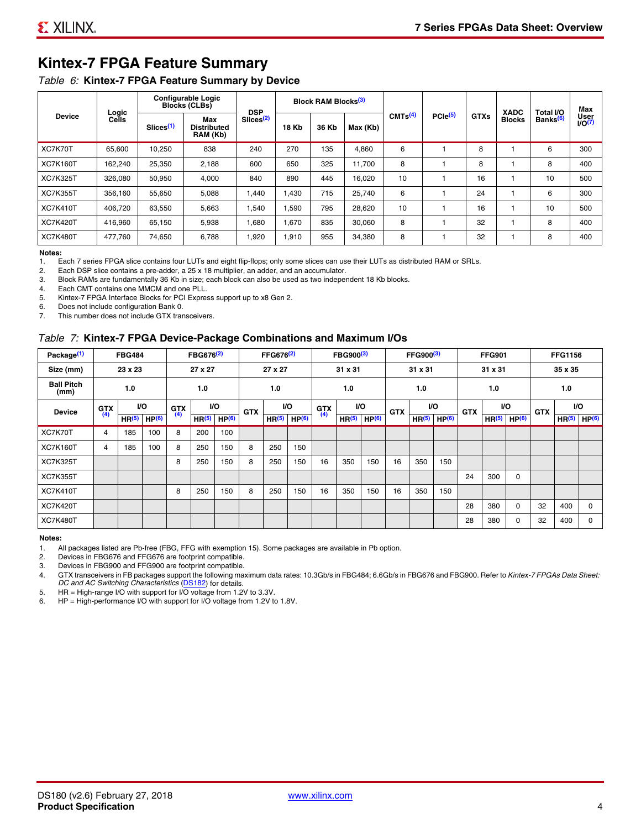# **Kintex-7 FPGA Feature Summary**

#### *Table 6:* **Kintex-7 FPGA Feature Summary by Device**

|                 |                |                       | <b>Configurable Logic</b><br><b>Blocks (CLBs)</b> | <b>DSP</b>            |       | Block RAM Blocks <sup>(3)</sup> |          |                     |              |             | <b>XADC</b>   | Total I/O            | Max                 |
|-----------------|----------------|-----------------------|---------------------------------------------------|-----------------------|-------|---------------------------------|----------|---------------------|--------------|-------------|---------------|----------------------|---------------------|
| <b>Device</b>   | Logic<br>Cells | Slices <sup>(1)</sup> | Max<br><b>Distributed</b><br>RAM (Kb)             | Slices <sup>(2)</sup> | 18 Kb | 36 Kb                           | Max (Kb) | CMTs <sup>(4)</sup> | $PCle^{(5)}$ | <b>GTXs</b> | <b>Blocks</b> | Banks <sup>(6)</sup> | User<br>$1/O^{(7)}$ |
| XC7K70T         | 65,600         | 10,250                | 838                                               | 240                   | 270   | 135                             | 4,860    | 6                   |              | 8           |               | 6                    | 300                 |
| <b>XC7K160T</b> | 162,240        | 25,350                | 2,188                                             | 600                   | 650   | 325                             | 11.700   | 8                   |              | 8           |               | 8                    | 400                 |
| <b>XC7K325T</b> | 326,080        | 50,950                | 4,000                                             | 840                   | 890   | 445                             | 16,020   | 10                  |              | 16          |               | 10                   | 500                 |
| <b>XC7K355T</b> | 356.160        | 55,650                | 5,088                                             | 1,440                 | 1.430 | 715                             | 25,740   | 6                   |              | 24          |               | 6                    | 300                 |
| <b>XC7K410T</b> | 406.720        | 63,550                | 5,663                                             | 1,540                 | .590  | 795                             | 28,620   | 10                  |              | 16          |               | 10                   | 500                 |
| <b>XC7K420T</b> | 416.960        | 65.150                | 5,938                                             | 1.680                 | 1.670 | 835                             | 30.060   | 8                   |              | 32          |               | 8                    | 400                 |
| <b>XC7K480T</b> | 477,760        | 74,650                | 6,788                                             | 1,920                 | 1,910 | 955                             | 34,380   | 8                   |              | 32          |               | 8                    | 400                 |

#### **Notes:**

1. Each 7 series FPGA slice contains four LUTs and eight flip-flops; only some slices can use their LUTs as distributed RAM or SRLs.<br>2. Each DSP slice contains a pre-adder, a 25 x 18 multiplier, an adder, and an accumulato

Each DSP slice contains a pre-adder, a 25 x 18 multiplier, an adder, and an accumulator.

3. Block RAMs are fundamentally 36 Kb in size; each block can also be used as two independent 18 Kb blocks.

4. Each CMT contains one MMCM and one PLL.<br>5. Kintex-7 FPGA Interface Blocks for PCI Expres

Kintex-7 FPGA Interface Blocks for PCI Express support up to x8 Gen 2.

6. Does not include configuration Bank 0.

7. This number does not include GTX transceivers.

#### *Table 7:* **Kintex-7 FPGA Device-Package Combinations and Maximum I/Os**

| Package <sup>(1)</sup>    |            | <b>FBG484</b>     |                   |            | FBG676 <sup>(2)</sup> |                   |            | FFG676 <sup>(2)</sup> |                   |            | FBG900 <sup>(3)</sup> |                   |            | FFG900 <sup>(3)</sup> |                   |            | <b>FFG901</b>     |                   |            | <b>FFG1156</b>    |                   |
|---------------------------|------------|-------------------|-------------------|------------|-----------------------|-------------------|------------|-----------------------|-------------------|------------|-----------------------|-------------------|------------|-----------------------|-------------------|------------|-------------------|-------------------|------------|-------------------|-------------------|
| Size (mm)                 |            | 23 x 23           |                   |            | 27 x 27               |                   |            | 27 x 27               |                   |            | 31 x 31               |                   |            | 31 x 31               |                   |            | 31 x 31           |                   |            | 35 x 35           |                   |
| <b>Ball Pitch</b><br>(mm) |            | 1.0               |                   |            | 1.0                   |                   |            | 1.0                   |                   |            | 1.0                   |                   |            | 1.0                   |                   |            | 1.0               |                   |            | 1.0               |                   |
| <b>Device</b>             | <b>GTX</b> |                   | VO.               | <b>GTX</b> | <b>VO</b>             |                   | <b>GTX</b> |                       | VO.               | <b>GTX</b> |                       | <b>VO</b>         | <b>GTX</b> | <b>VO</b>             |                   | <b>GTX</b> |                   | VO                | <b>GTX</b> | <b>VO</b>         |                   |
|                           | (4)        | HR <sup>(5)</sup> | HP <sup>(6)</sup> | (4)        | HR <sup>(5)</sup>     | HP <sup>(6)</sup> |            | HR <sup>(5)</sup>     | HP <sup>(6)</sup> | (4)        | HR <sup>(5)</sup>     | HP <sup>(6)</sup> |            | HR <sup>(5)</sup>     | HP <sup>(6)</sup> |            | HR <sup>(5)</sup> | HP <sup>(6)</sup> |            | HR <sup>(5)</sup> | HP <sup>(6)</sup> |
| XC7K70T                   | 4          | 185               | 100               | 8          | 200                   | 100               |            |                       |                   |            |                       |                   |            |                       |                   |            |                   |                   |            |                   |                   |
| <b>XC7K160T</b>           | 4          | 185               | 100               | 8          | 250                   | 150               | 8          | 250                   | 150               |            |                       |                   |            |                       |                   |            |                   |                   |            |                   |                   |
| <b>XC7K325T</b>           |            |                   |                   | 8          | 250                   | 150               | 8          | 250                   | 150               | 16         | 350                   | 150               | 16         | 350                   | 150               |            |                   |                   |            |                   |                   |
| <b>XC7K355T</b>           |            |                   |                   |            |                       |                   |            |                       |                   |            |                       |                   |            |                       |                   | 24         | 300               | 0                 |            |                   |                   |
| <b>XC7K410T</b>           |            |                   |                   | 8          | 250                   | 150               | 8          | 250                   | 150               | 16         | 350                   | 150               | 16         | 350                   | 150               |            |                   |                   |            |                   |                   |
| <b>XC7K420T</b>           |            |                   |                   |            |                       |                   |            |                       |                   |            |                       |                   |            |                       |                   | 28         | 380               | $\Omega$          | 32         | 400               | $\Omega$          |
| <b>XC7K480T</b>           |            |                   |                   |            |                       |                   |            |                       |                   |            |                       |                   |            |                       |                   | 28         | 380               | 0                 | 32         | 400               | $\Omega$          |

#### **Notes:**

1. All packages listed are Pb-free (FBG, FFG with exemption 15). Some packages are available in Pb option.

2. Devices in FBG676 and FFG676 are footprint compatible.

3. Devices in FBG900 and FFG900 are footprint compatible. 4. GTX transceivers in FB packages support the following maximum data rates: 10.3Gb/s in FBG484; 6.6Gb/s in FBG676 and FBG900. Refer to *Kintex-7 FPGAs Data Sheet: DC and AC Switching Characteristics* (DS182) for details.

5. HR = High-range I/O with support for I/O voltage from 1.2V to 3.3V.

6. HP = High-performance I/O with support for I/O voltage from 1.2V to 1.8V.

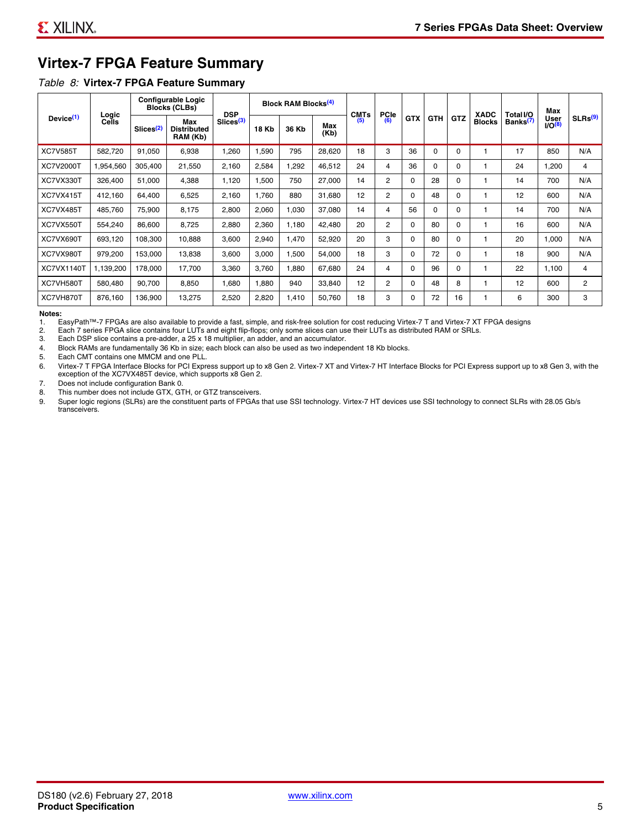# **Virtex-7 FPGA Feature Summary**

#### *Table 8:* **Virtex-7 FPGA Feature Summary**

|                       |                |                       | <b>Configurable Logic</b><br><b>Blocks (CLBs)</b> | <b>DSP</b>            |              | Block RAM Blocks <sup>(4)</sup> |             | <b>CMTs</b> | <b>PCIe</b>    |            |            |            | <b>XADC</b>   | Total I/O            | Max                 |                     |
|-----------------------|----------------|-----------------------|---------------------------------------------------|-----------------------|--------------|---------------------------------|-------------|-------------|----------------|------------|------------|------------|---------------|----------------------|---------------------|---------------------|
| Device <sup>(1)</sup> | Logic<br>Cells | Slices <sup>(2)</sup> | Max<br><b>Distributed</b><br>RAM (Kb)             | Slices <sup>(3)</sup> | <b>18 Kb</b> | 36 Kb                           | Max<br>(Kb) | (5)         | (6)            | <b>GTX</b> | <b>GTH</b> | <b>GTZ</b> | <b>Blocks</b> | Banks <sup>(7)</sup> | User<br>$1/O^{(8)}$ | SLRs <sup>(9)</sup> |
| <b>XC7V585T</b>       | 582,720        | 91,050                | 6,938                                             | .260                  | 1,590        | 795                             | 28,620      | 18          | 3              | 36         | 0          | 0          |               | 17                   | 850                 | N/A                 |
| <b>XC7V2000T</b>      | 1,954,560      | 305,400               | 21,550                                            | 2,160                 | 2,584        | ,292                            | 46,512      | 24          | 4              | 36         | 0          | 0          |               | 24                   | 1,200               | 4                   |
| XC7VX330T             | 326,400        | 51,000                | 4,388                                             | 1,120                 | 1,500        | 750                             | 27,000      | 14          | 2              | 0          | 28         | 0          |               | 14                   | 700                 | N/A                 |
| XC7VX415T             | 412,160        | 64.400                | 6,525                                             | 2,160                 | 1.760        | 880                             | 31.680      | 12          | $\overline{2}$ | $\Omega$   | 48         | $\Omega$   |               | 12                   | 600                 | N/A                 |
| XC7VX485T             | 485,760        | 75,900                | 8,175                                             | 2,800                 | 2,060        | 030                             | 37,080      | 14          | 4              | 56         | 0          | $\Omega$   |               | 14                   | 700                 | N/A                 |
| XC7VX550T             | 554.240        | 86,600                | 8.725                                             | 2,880                 | 2,360        | 1,180                           | 42,480      | 20          | $\overline{2}$ | 0          | 80         | $\Omega$   |               | 16                   | 600                 | N/A                 |
| XC7VX690T             | 693,120        | 108,300               | 10,888                                            | 3,600                 | 2,940        | 1,470                           | 52,920      | 20          | 3              | 0          | 80         | 0          |               | 20                   | 1,000               | N/A                 |
| XC7VX980T             | 979,200        | 153,000               | 13,838                                            | 3,600                 | 3,000        | ,500                            | 54,000      | 18          | 3              | 0          | 72         | 0          |               | 18                   | 900                 | N/A                 |
| XC7VX1140T            | 1,139,200      | 178.000               | 17.700                                            | 3,360                 | 3.760        | .880                            | 67,680      | 24          | 4              | 0          | 96         | $\Omega$   |               | 22                   | 1,100               | 4                   |
| XC7VH580T             | 580,480        | 90,700                | 8,850                                             | 1,680                 | 1,880        | 940                             | 33,840      | 12          | 2              | 0          | 48         | 8          |               | 12                   | 600                 | $\overline{c}$      |
| XC7VH870T             | 876,160        | 136,900               | 13,275                                            | 2,520                 | 2,820        | 1,410                           | 50,760      | 18          | 3              | 0          | 72         | 16         |               | 6                    | 300                 | 3                   |

#### **Notes:**

1. EasyPath™-7 FPGAs are also available to provide a fast, simple, and risk-free solution for cost reducing Virtex-7 T and Virtex-7 XT FPGA designs

2. Each 7 series FPGA slice contains four LUTs and eight flip-flops; only some slices can use their LUTs as distributed RAM or SRLs.

Each DSP slice contains a pre-adder, a 25 x 18 multiplier, an adder, and an accumulator.

4. Block RAMs are fundamentally 36 Kb in size; each block can also be used as two independent 18 Kb blocks.

5. Each CMT contains one MMCM and one PLL.

6. Virtex-7 T FPGA Interface Blocks for PCI Express support up to x8 Gen 2. Virtex-7 XT and Virtex-7 HT Interface Blocks for PCI Express support up to x8 Gen 3, with the exception of the XC7VX485T device, which supports x8 Gen 2.

7. Does not include configuration Bank 0.

8. This number does not include GTX, GTH, or GTZ transceivers.

9. Super logic regions (SLRs) are the constituent parts of FPGAs that use SSI technology. Virtex-7 HT devices use SSI technology to connect SLRs with 28.05 Gb/s transceivers.

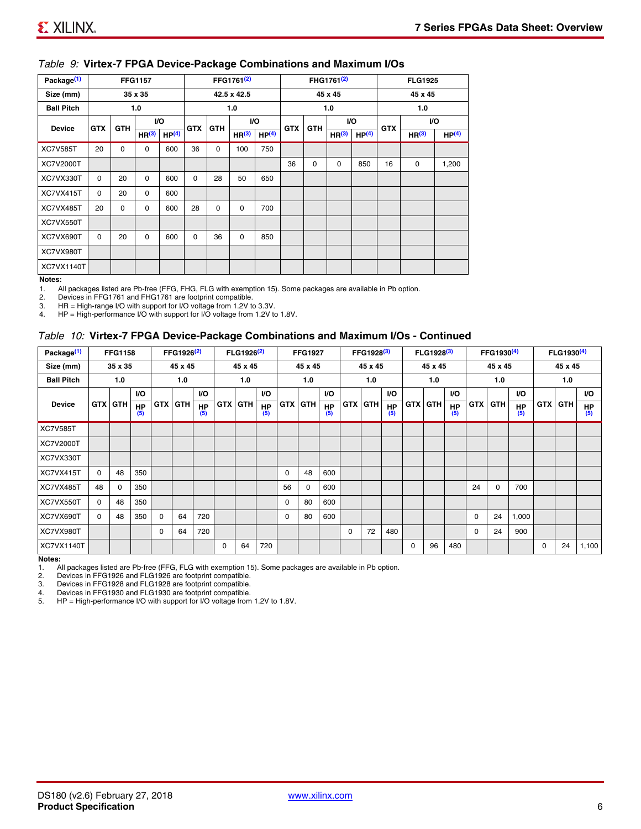#### *Table 9:* **Virtex-7 FPGA Device-Package Combinations and Maximum I/Os**

| Package <sup>(1)</sup> |            |             | <b>FFG1157</b>    |                   |            |            | FFG1761 <sup>(2)</sup> |                   |            |             | FHG1761 <sup>(2)</sup> |                   |            | <b>FLG1925</b>    |                   |
|------------------------|------------|-------------|-------------------|-------------------|------------|------------|------------------------|-------------------|------------|-------------|------------------------|-------------------|------------|-------------------|-------------------|
| Size (mm)              |            |             | 35 x 35           |                   |            |            | 42.5 x 42.5            |                   |            |             | 45 x 45                |                   |            | 45 x 45           |                   |
| <b>Ball Pitch</b>      |            |             | 1.0               |                   |            |            | 1.0                    |                   |            |             | 1.0                    |                   |            | 1.0               |                   |
| <b>Device</b>          | <b>GTX</b> | <b>GTH</b>  |                   | VO.               | <b>GTX</b> | <b>GTH</b> |                        | I/O               | <b>GTX</b> | <b>GTH</b>  |                        | VO.               | <b>GTX</b> |                   | VO.               |
|                        |            |             | HR <sup>(3)</sup> | HP <sup>(4)</sup> |            |            | HR <sup>(3)</sup>      | HP <sup>(4)</sup> |            |             | HR <sup>(3)</sup>      | HP <sup>(4)</sup> |            | HR <sup>(3)</sup> | HP <sup>(4)</sup> |
| <b>XC7V585T</b>        | 20         | $\mathbf 0$ | $\mathbf 0$       | 600               | 36         | 0          | 100                    | 750               |            |             |                        |                   |            |                   |                   |
| XC7V2000T              |            |             |                   |                   |            |            |                        |                   | 36         | $\mathbf 0$ | 0                      | 850               | 16         | 0                 | 1,200             |
| XC7VX330T              | $\Omega$   | 20          | $\Omega$          | 600               | $\Omega$   | 28         | 50                     | 650               |            |             |                        |                   |            |                   |                   |
| XC7VX415T              | $\Omega$   | 20          | $\Omega$          | 600               |            |            |                        |                   |            |             |                        |                   |            |                   |                   |
| XC7VX485T              | 20         | 0           | 0                 | 600               | 28         | 0          | 0                      | 700               |            |             |                        |                   |            |                   |                   |
| XC7VX550T              |            |             |                   |                   |            |            |                        |                   |            |             |                        |                   |            |                   |                   |
| XC7VX690T              | $\Omega$   | 20          | $\Omega$          | 600               | $\Omega$   | 36         | $\Omega$               | 850               |            |             |                        |                   |            |                   |                   |
| XC7VX980T              |            |             |                   |                   |            |            |                        |                   |            |             |                        |                   |            |                   |                   |
| XC7VX1140T             |            |             |                   |                   |            |            |                        |                   |            |             |                        |                   |            |                   |                   |

#### **Notes:**

1. All packages listed are Pb-free (FFG, FHG, FLG with exemption 15). Some packages are available in Pb option.<br>2. Devices in FFG1761 and FHG1761 are footprint compatible

2. Devices in FFG1761 and FHG1761 are footprint compatible.<br>3. HR = High-range I/O with support for I/O voltage from 1.2V to

HR = High-range I/O with support for I/O voltage from 1.2V to 3.3V.

4. HP = High-performance I/O with support for I/O voltage from 1.2V to 1.8V.

#### *Table 10:* **Virtex-7 FPGA Device-Package Combinations and Maximum I/Os - Continued**

| Package <sup>(1)</sup> |          | <b>FFG1158</b> |                  |          | FFG1926 <sup>(2)</sup> |                  |            | FLG1926 <sup>(2)</sup> |                  |            | <b>FFG1927</b> |                  |          | FFG1928 <sup>(3)</sup> |                  |            | FLG1928 <sup>(3)</sup> |                  |            | FFG1930 <sup>(4)</sup> |           |            | FLG1930 <sup>(4)</sup> |                  |
|------------------------|----------|----------------|------------------|----------|------------------------|------------------|------------|------------------------|------------------|------------|----------------|------------------|----------|------------------------|------------------|------------|------------------------|------------------|------------|------------------------|-----------|------------|------------------------|------------------|
| Size (mm)              |          | 35 x 35        |                  |          | 45 x 45                |                  |            | 45 x 45                |                  |            | 45 x 45        |                  |          | 45 x 45                |                  |            | 45 x 45                |                  |            | 45 x 45                |           |            | 45 x 45                |                  |
| <b>Ball Pitch</b>      |          | 1.0            |                  |          | 1.0                    |                  |            | 1.0                    |                  |            | 1.0            |                  |          | 1.0                    |                  |            | 1.0                    |                  |            | 1.0                    |           |            | 1.0                    |                  |
|                        |          |                | <b>VO</b>        |          |                        | <b>VO</b>        |            |                        | <b>VO</b>        |            |                | <b>VO</b>        |          |                        | <b>VO</b>        |            |                        | <b>VO</b>        |            |                        | <b>VO</b> |            |                        | <b>VO</b>        |
| <b>Device</b>          |          | <b>GTX GTH</b> | <b>HP</b><br>(5) |          | GTX GTH                | <b>HP</b><br>(5) | <b>GTX</b> | <b>GTH</b>             | <b>HP</b><br>(5) | <b>GTX</b> | GTH            | <b>HP</b><br>(5) |          | <b>GTX GTH</b>         | <b>HP</b><br>(5) | <b>GTX</b> | <b>GTH</b>             | <b>HP</b><br>(5) | <b>GTX</b> | GTH                    | HP<br>(5) | <b>GTX</b> | GTH                    | <b>HP</b><br>(5) |
| <b>XC7V585T</b>        |          |                |                  |          |                        |                  |            |                        |                  |            |                |                  |          |                        |                  |            |                        |                  |            |                        |           |            |                        |                  |
| <b>XC7V2000T</b>       |          |                |                  |          |                        |                  |            |                        |                  |            |                |                  |          |                        |                  |            |                        |                  |            |                        |           |            |                        |                  |
| XC7VX330T              |          |                |                  |          |                        |                  |            |                        |                  |            |                |                  |          |                        |                  |            |                        |                  |            |                        |           |            |                        |                  |
| XC7VX415T              | $\Omega$ | 48             | 350              |          |                        |                  |            |                        |                  | 0          | 48             | 600              |          |                        |                  |            |                        |                  |            |                        |           |            |                        |                  |
| XC7VX485T              | 48       | $\Omega$       | 350              |          |                        |                  |            |                        |                  | 56         | $\Omega$       | 600              |          |                        |                  |            |                        |                  | 24         | $\Omega$               | 700       |            |                        |                  |
| XC7VX550T              | $\Omega$ | 48             | 350              |          |                        |                  |            |                        |                  | 0          | 80             | 600              |          |                        |                  |            |                        |                  |            |                        |           |            |                        |                  |
| XC7VX690T              | $\Omega$ | 48             | 350              | $\Omega$ | 64                     | 720              |            |                        |                  | 0          | 80             | 600              |          |                        |                  |            |                        |                  | 0          | 24                     | 1,000     |            |                        |                  |
| XC7VX980T              |          |                |                  | $\Omega$ | 64                     | 720              |            |                        |                  |            |                |                  | $\Omega$ | 72                     | 480              |            |                        |                  | 0          | 24                     | 900       |            |                        |                  |
| <b>XC7VX1140T</b>      |          |                |                  |          |                        |                  | $\Omega$   | 64                     | 720              |            |                |                  |          |                        |                  | $\Omega$   | 96                     | 480              |            |                        |           | $\Omega$   | 24                     | 1,100            |

**Notes:** 

1. All packages listed are Pb-free (FFG, FLG with exemption 15). Some packages are available in Pb option.<br>2. Devices in FFG1926 and FLG1926 are footprint compatible.

2. Devices in FFG1926 and FLG1926 are footprint compatible.

3. Devices in FFG1928 and FLG1928 are footprint compatible.

4. Devices in FFG1930 and FLG1930 are footprint compatible.<br>5. HP = High-performance I/O with support for I/O voltage from HP = High-performance I/O with support for I/O voltage from 1.2V to 1.8V.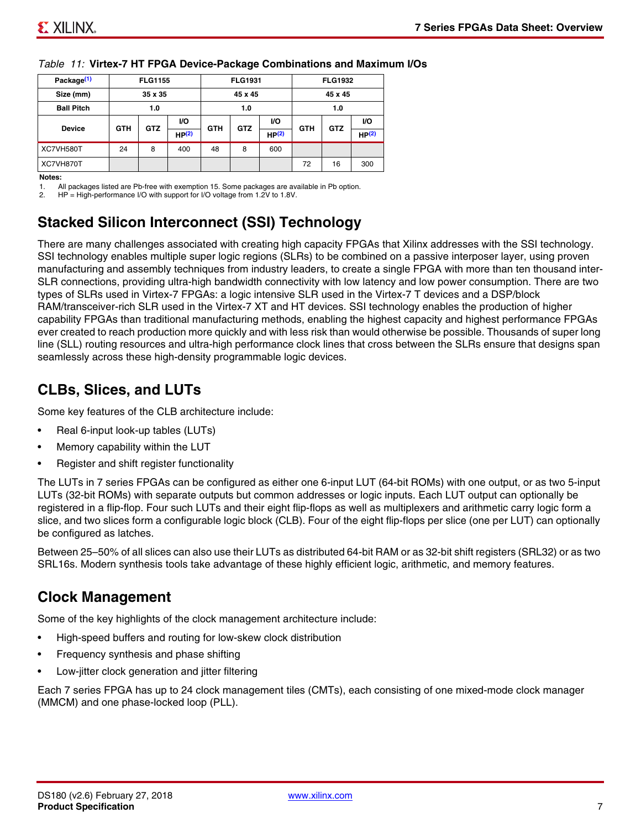| Package <sup>(1)</sup> |                          | <b>FLG1155</b>    |       |            | <b>FLG1931</b> |                   |            | <b>FLG1932</b> |       |
|------------------------|--------------------------|-------------------|-------|------------|----------------|-------------------|------------|----------------|-------|
| Size (mm)              |                          | 35 x 35           |       |            | 45 x 45        |                   |            | 45 x 45        |       |
| <b>Ball Pitch</b>      |                          | 1.0<br>1.0<br>VO. |       |            |                |                   |            | 1.0            |       |
| <b>Device</b>          | <b>GTH</b><br><b>GTZ</b> |                   |       | <b>GTH</b> | <b>GTZ</b>     | <b>VO</b>         | <b>GTH</b> | <b>GTZ</b>     | VO.   |
|                        |                          |                   | HP(2) |            |                | HP <sup>(2)</sup> |            |                | HP(2) |
| XC7VH580T              | 24                       | 8                 | 400   | 48         | 8              | 600               |            |                |       |
| XC7VH870T              |                          |                   |       |            |                |                   | 72         | 16             | 300   |

#### *Table 11:* **Virtex-7 HT FPGA Device-Package Combinations and Maximum I/Os**

#### **Notes:**

1. All packages listed are Pb-free with exemption 15. Some packages are available in Pb option.

2. HP = High-performance I/O with support for I/O voltage from 1.2V to 1.8V.

# **Stacked Silicon Interconnect (SSI) Technology**

There are many challenges associated with creating high capacity FPGAs that Xilinx addresses with the SSI technology. SSI technology enables multiple super logic regions (SLRs) to be combined on a passive interposer layer, using proven manufacturing and assembly techniques from industry leaders, to create a single FPGA with more than ten thousand inter-SLR connections, providing ultra-high bandwidth connectivity with low latency and low power consumption. There are two types of SLRs used in Virtex-7 FPGAs: a logic intensive SLR used in the Virtex-7 T devices and a DSP/block RAM/transceiver-rich SLR used in the Virtex-7 XT and HT devices. SSI technology enables the production of higher capability FPGAs than traditional manufacturing methods, enabling the highest capacity and highest performance FPGAs ever created to reach production more quickly and with less risk than would otherwise be possible. Thousands of super long line (SLL) routing resources and ultra-high performance clock lines that cross between the SLRs ensure that designs span seamlessly across these high-density programmable logic devices.

# **CLBs, Slices, and LUTs**

Some key features of the CLB architecture include:

- Real 6-input look-up tables (LUTs)
- Memory capability within the LUT
- Register and shift register functionality

The LUTs in 7 series FPGAs can be configured as either one 6-input LUT (64-bit ROMs) with one output, or as two 5-input LUTs (32-bit ROMs) with separate outputs but common addresses or logic inputs. Each LUT output can optionally be registered in a flip-flop. Four such LUTs and their eight flip-flops as well as multiplexers and arithmetic carry logic form a slice, and two slices form a configurable logic block (CLB). Four of the eight flip-flops per slice (one per LUT) can optionally be configured as latches.

Between 25–50% of all slices can also use their LUTs as distributed 64-bit RAM or as 32-bit shift registers (SRL32) or as two SRL16s. Modern synthesis tools take advantage of these highly efficient logic, arithmetic, and memory features.

# **Clock Management**

Some of the key highlights of the clock management architecture include:

- High-speed buffers and routing for low-skew clock distribution
- Frequency synthesis and phase shifting
- Low-jitter clock generation and jitter filtering

Each 7 series FPGA has up to 24 clock management tiles (CMTs), each consisting of one mixed-mode clock manager (MMCM) and one phase-locked loop (PLL).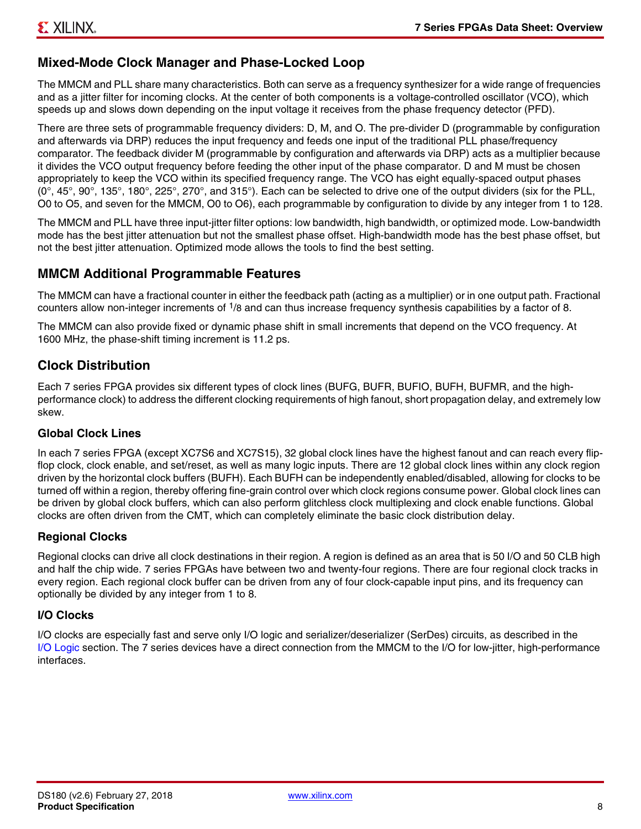# **Mixed-Mode Clock Manager and Phase-Locked Loop**

The MMCM and PLL share many characteristics. Both can serve as a frequency synthesizer for a wide range of frequencies and as a jitter filter for incoming clocks. At the center of both components is a voltage-controlled oscillator (VCO), which speeds up and slows down depending on the input voltage it receives from the phase frequency detector (PFD).

There are three sets of programmable frequency dividers: D, M, and O. The pre-divider D (programmable by configuration and afterwards via DRP) reduces the input frequency and feeds one input of the traditional PLL phase/frequency comparator. The feedback divider M (programmable by configuration and afterwards via DRP) acts as a multiplier because it divides the VCO output frequency before feeding the other input of the phase comparator. D and M must be chosen appropriately to keep the VCO within its specified frequency range. The VCO has eight equally-spaced output phases  $(0^\circ, 45^\circ, 90^\circ, 135^\circ, 180^\circ, 225^\circ, 270^\circ,$  and  $315^\circ$ ). Each can be selected to drive one of the output dividers (six for the PLL, O0 to O5, and seven for the MMCM, O0 to O6), each programmable by configuration to divide by any integer from 1 to 128.

The MMCM and PLL have three input-jitter filter options: low bandwidth, high bandwidth, or optimized mode. Low-bandwidth mode has the best jitter attenuation but not the smallest phase offset. High-bandwidth mode has the best phase offset, but not the best jitter attenuation. Optimized mode allows the tools to find the best setting.

#### **MMCM Additional Programmable Features**

The MMCM can have a fractional counter in either the feedback path (acting as a multiplier) or in one output path. Fractional counters allow non-integer increments of 1/8 and can thus increase frequency synthesis capabilities by a factor of 8.

The MMCM can also provide fixed or dynamic phase shift in small increments that depend on the VCO frequency. At 1600 MHz, the phase-shift timing increment is 11.2 ps.

# **Clock Distribution**

Each 7 series FPGA provides six different types of clock lines (BUFG, BUFR, BUFIO, BUFH, BUFMR, and the highperformance clock) to address the different clocking requirements of high fanout, short propagation delay, and extremely low skew.

#### **Global Clock Lines**

In each 7 series FPGA (except XC7S6 and XC7S15), 32 global clock lines have the highest fanout and can reach every flipflop clock, clock enable, and set/reset, as well as many logic inputs. There are 12 global clock lines within any clock region driven by the horizontal clock buffers (BUFH). Each BUFH can be independently enabled/disabled, allowing for clocks to be turned off within a region, thereby offering fine-grain control over which clock regions consume power. Global clock lines can be driven by global clock buffers, which can also perform glitchless clock multiplexing and clock enable functions. Global clocks are often driven from the CMT, which can completely eliminate the basic clock distribution delay.

#### **Regional Clocks**

Regional clocks can drive all clock destinations in their region. A region is defined as an area that is 50 I/O and 50 CLB high and half the chip wide. 7 series FPGAs have between two and twenty-four regions. There are four regional clock tracks in every region. Each regional clock buffer can be driven from any of four clock-capable input pins, and its frequency can optionally be divided by any integer from 1 to 8.

#### **I/O Clocks**

I/O clocks are especially fast and serve only I/O logic and serializer/deserializer (SerDes) circuits, as described in the I/O Logic section. The 7 series devices have a direct connection from the MMCM to the I/O for low-jitter, high-performance interfaces.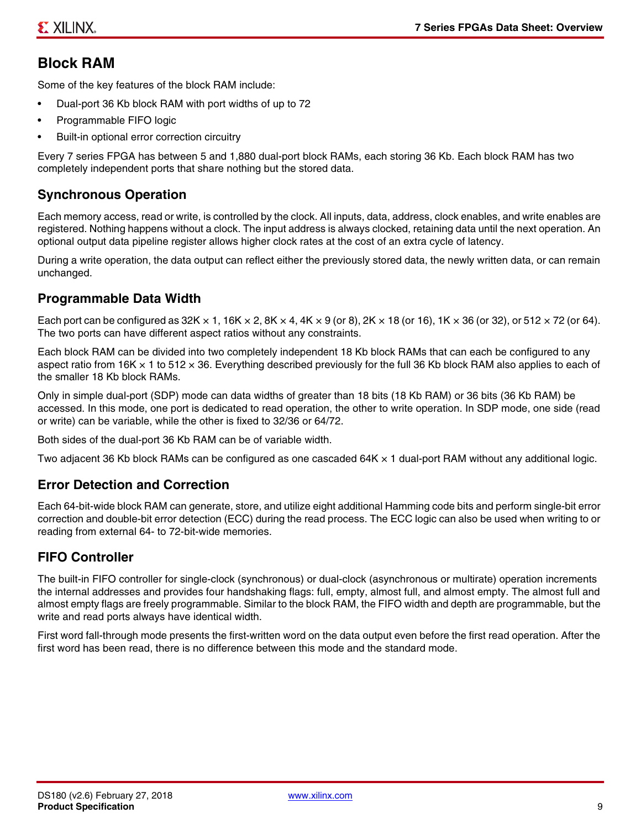# **Block RAM**

Some of the key features of the block RAM include:

- Dual-port 36 Kb block RAM with port widths of up to 72
- Programmable FIFO logic
- Built-in optional error correction circuitry

Every 7 series FPGA has between 5 and 1,880 dual-port block RAMs, each storing 36 Kb. Each block RAM has two completely independent ports that share nothing but the stored data.

# **Synchronous Operation**

Each memory access, read or write, is controlled by the clock. All inputs, data, address, clock enables, and write enables are registered. Nothing happens without a clock. The input address is always clocked, retaining data until the next operation. An optional output data pipeline register allows higher clock rates at the cost of an extra cycle of latency.

During a write operation, the data output can reflect either the previously stored data, the newly written data, or can remain unchanged.

#### **Programmable Data Width**

Each port can be configured as 32K  $\times$  1, 16K  $\times$  2, 8K  $\times$  4, 4K  $\times$  9 (or 8), 2K  $\times$  18 (or 16), 1K  $\times$  36 (or 32), or 512  $\times$  72 (or 64). The two ports can have different aspect ratios without any constraints.

Each block RAM can be divided into two completely independent 18 Kb block RAMs that can each be configured to any aspect ratio from 16K  $\times$  1 to 512  $\times$  36. Everything described previously for the full 36 Kb block RAM also applies to each of the smaller 18 Kb block RAMs.

Only in simple dual-port (SDP) mode can data widths of greater than 18 bits (18 Kb RAM) or 36 bits (36 Kb RAM) be accessed. In this mode, one port is dedicated to read operation, the other to write operation. In SDP mode, one side (read or write) can be variable, while the other is fixed to 32/36 or 64/72.

Both sides of the dual-port 36 Kb RAM can be of variable width.

Two adjacent 36 Kb block RAMs can be configured as one cascaded 64K × 1 dual-port RAM without any additional logic.

#### **Error Detection and Correction**

Each 64-bit-wide block RAM can generate, store, and utilize eight additional Hamming code bits and perform single-bit error correction and double-bit error detection (ECC) during the read process. The ECC logic can also be used when writing to or reading from external 64- to 72-bit-wide memories.

#### **FIFO Controller**

The built-in FIFO controller for single-clock (synchronous) or dual-clock (asynchronous or multirate) operation increments the internal addresses and provides four handshaking flags: full, empty, almost full, and almost empty. The almost full and almost empty flags are freely programmable. Similar to the block RAM, the FIFO width and depth are programmable, but the write and read ports always have identical width.

First word fall-through mode presents the first-written word on the data output even before the first read operation. After the first word has been read, there is no difference between this mode and the standard mode.

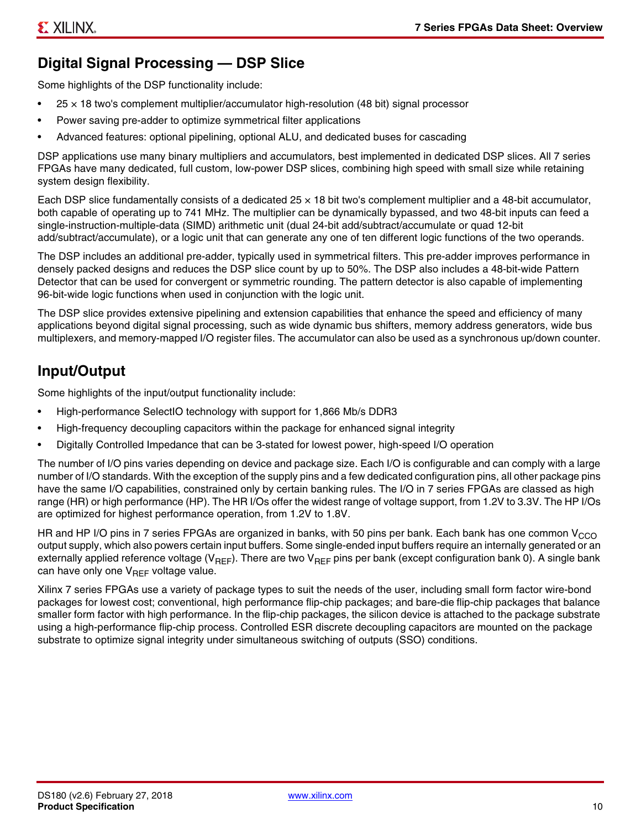# **Digital Signal Processing — DSP Slice**

Some highlights of the DSP functionality include:

- $25 \times 18$  two's complement multiplier/accumulator high-resolution (48 bit) signal processor
- Power saving pre-adder to optimize symmetrical filter applications
- Advanced features: optional pipelining, optional ALU, and dedicated buses for cascading

DSP applications use many binary multipliers and accumulators, best implemented in dedicated DSP slices. All 7 series FPGAs have many dedicated, full custom, low-power DSP slices, combining high speed with small size while retaining system design flexibility.

Each DSP slice fundamentally consists of a dedicated 25 × 18 bit two's complement multiplier and a 48-bit accumulator, both capable of operating up to 741 MHz. The multiplier can be dynamically bypassed, and two 48-bit inputs can feed a single-instruction-multiple-data (SIMD) arithmetic unit (dual 24-bit add/subtract/accumulate or quad 12-bit add/subtract/accumulate), or a logic unit that can generate any one of ten different logic functions of the two operands.

The DSP includes an additional pre-adder, typically used in symmetrical filters. This pre-adder improves performance in densely packed designs and reduces the DSP slice count by up to 50%. The DSP also includes a 48-bit-wide Pattern Detector that can be used for convergent or symmetric rounding. The pattern detector is also capable of implementing 96-bit-wide logic functions when used in conjunction with the logic unit.

The DSP slice provides extensive pipelining and extension capabilities that enhance the speed and efficiency of many applications beyond digital signal processing, such as wide dynamic bus shifters, memory address generators, wide bus multiplexers, and memory-mapped I/O register files. The accumulator can also be used as a synchronous up/down counter.

# **Input/Output**

Some highlights of the input/output functionality include:

- High-performance SelectIO technology with support for 1,866 Mb/s DDR3
- High-frequency decoupling capacitors within the package for enhanced signal integrity
- Digitally Controlled Impedance that can be 3-stated for lowest power, high-speed I/O operation

The number of I/O pins varies depending on device and package size. Each I/O is configurable and can comply with a large number of I/O standards. With the exception of the supply pins and a few dedicated configuration pins, all other package pins have the same I/O capabilities, constrained only by certain banking rules. The I/O in 7 series FPGAs are classed as high range (HR) or high performance (HP). The HR I/Os offer the widest range of voltage support, from 1.2V to 3.3V. The HP I/Os are optimized for highest performance operation, from 1.2V to 1.8V.

HR and HP I/O pins in 7 series FPGAs are organized in banks, with 50 pins per bank. Each bank has one common V<sub>CCO</sub> output supply, which also powers certain input buffers. Some single-ended input buffers require an internally generated or an externally applied reference voltage ( $V_{RFF}$ ). There are two  $V_{RFF}$  pins per bank (except configuration bank 0). A single bank can have only one  $V_{\text{RFF}}$  voltage value.

Xilinx 7 series FPGAs use a variety of package types to suit the needs of the user, including small form factor wire-bond packages for lowest cost; conventional, high performance flip-chip packages; and bare-die flip-chip packages that balance smaller form factor with high performance. In the flip-chip packages, the silicon device is attached to the package substrate using a high-performance flip-chip process. Controlled ESR discrete decoupling capacitors are mounted on the package substrate to optimize signal integrity under simultaneous switching of outputs (SSO) conditions.

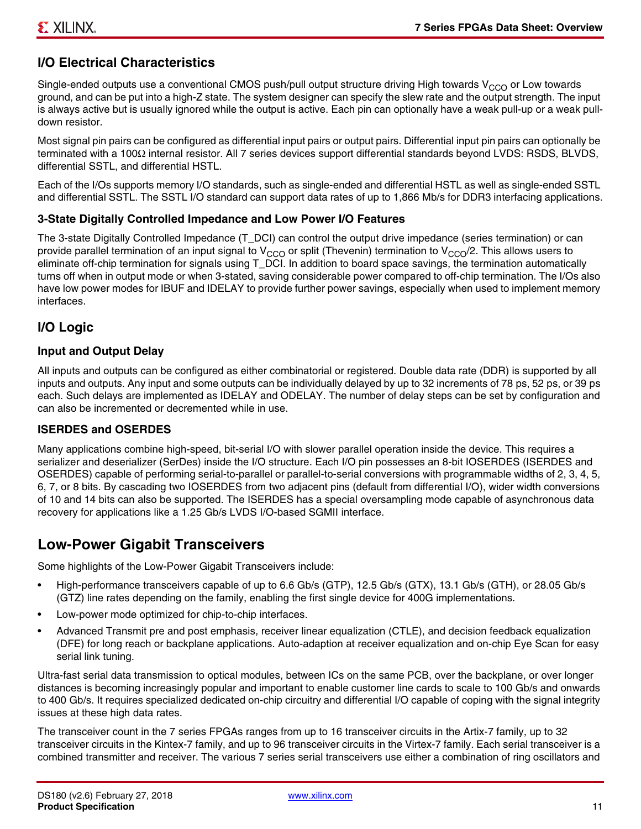# **I/O Electrical Characteristics**

Single-ended outputs use a conventional CMOS push/pull output structure driving High towards V<sub>CCO</sub> or Low towards ground, and can be put into a high-Z state. The system designer can specify the slew rate and the output strength. The input is always active but is usually ignored while the output is active. Each pin can optionally have a weak pull-up or a weak pulldown resistor.

Most signal pin pairs can be configured as differential input pairs or output pairs. Differential input pin pairs can optionally be terminated with a 100Ω internal resistor. All 7 series devices support differential standards beyond LVDS: RSDS, BLVDS, differential SSTL, and differential HSTL.

Each of the I/Os supports memory I/O standards, such as single-ended and differential HSTL as well as single-ended SSTL and differential SSTL. The SSTL I/O standard can support data rates of up to 1,866 Mb/s for DDR3 interfacing applications.

#### **3-State Digitally Controlled Impedance and Low Power I/O Features**

The 3-state Digitally Controlled Impedance (T\_DCI) can control the output drive impedance (series termination) or can provide parallel termination of an input signal to V<sub>CCO</sub> or split (Thevenin) termination to V<sub>CCO</sub>/2. This allows users to eliminate off-chip termination for signals using T\_DCI. In addition to board space savings, the termination automatically turns off when in output mode or when 3-stated, saving considerable power compared to off-chip termination. The I/Os also have low power modes for IBUF and IDELAY to provide further power savings, especially when used to implement memory interfaces.

### **I/O Logic**

#### **Input and Output Delay**

All inputs and outputs can be configured as either combinatorial or registered. Double data rate (DDR) is supported by all inputs and outputs. Any input and some outputs can be individually delayed by up to 32 increments of 78 ps, 52 ps, or 39 ps each. Such delays are implemented as IDELAY and ODELAY. The number of delay steps can be set by configuration and can also be incremented or decremented while in use.

#### **ISERDES and OSERDES**

Many applications combine high-speed, bit-serial I/O with slower parallel operation inside the device. This requires a serializer and deserializer (SerDes) inside the I/O structure. Each I/O pin possesses an 8-bit IOSERDES (ISERDES and OSERDES) capable of performing serial-to-parallel or parallel-to-serial conversions with programmable widths of 2, 3, 4, 5, 6, 7, or 8 bits. By cascading two IOSERDES from two adjacent pins (default from differential I/O), wider width conversions of 10 and 14 bits can also be supported. The ISERDES has a special oversampling mode capable of asynchronous data recovery for applications like a 1.25 Gb/s LVDS I/O-based SGMII interface.

# **Low-Power Gigabit Transceivers**

Some highlights of the Low-Power Gigabit Transceivers include:

- High-performance transceivers capable of up to 6.6 Gb/s (GTP), 12.5 Gb/s (GTX), 13.1 Gb/s (GTH), or 28.05 Gb/s (GTZ) line rates depending on the family, enabling the first single device for 400G implementations.
- Low-power mode optimized for chip-to-chip interfaces.
- Advanced Transmit pre and post emphasis, receiver linear equalization (CTLE), and decision feedback equalization (DFE) for long reach or backplane applications. Auto-adaption at receiver equalization and on-chip Eye Scan for easy serial link tuning.

Ultra-fast serial data transmission to optical modules, between ICs on the same PCB, over the backplane, or over longer distances is becoming increasingly popular and important to enable customer line cards to scale to 100 Gb/s and onwards to 400 Gb/s. It requires specialized dedicated on-chip circuitry and differential I/O capable of coping with the signal integrity issues at these high data rates.

The transceiver count in the 7 series FPGAs ranges from up to 16 transceiver circuits in the Artix-7 family, up to 32 transceiver circuits in the Kintex-7 family, and up to 96 transceiver circuits in the Virtex-7 family. Each serial transceiver is a combined transmitter and receiver. The various 7 series serial transceivers use either a combination of ring oscillators and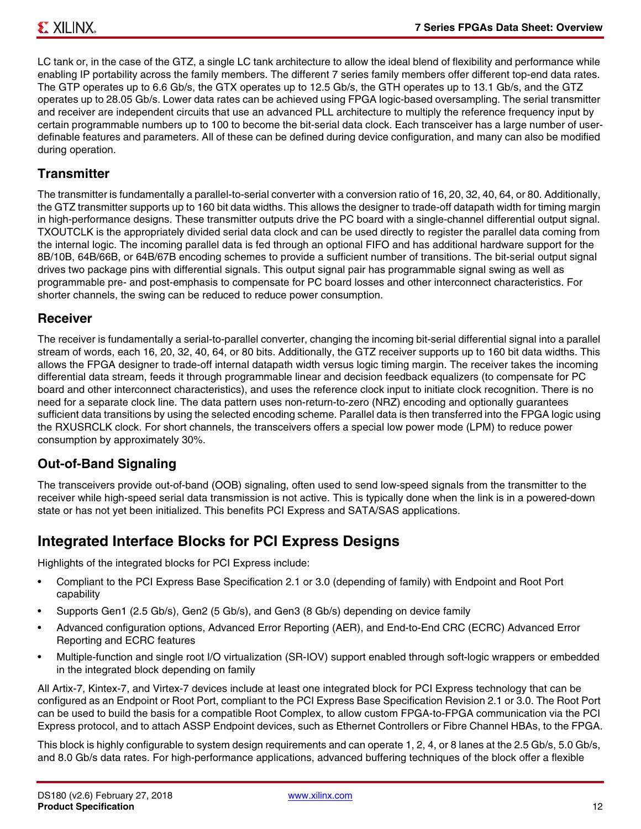LC tank or, in the case of the GTZ, a single LC tank architecture to allow the ideal blend of flexibility and performance while enabling IP portability across the family members. The different 7 series family members offer different top-end data rates. The GTP operates up to 6.6 Gb/s, the GTX operates up to 12.5 Gb/s, the GTH operates up to 13.1 Gb/s, and the GTZ operates up to 28.05 Gb/s. Lower data rates can be achieved using FPGA logic-based oversampling. The serial transmitter and receiver are independent circuits that use an advanced PLL architecture to multiply the reference frequency input by certain programmable numbers up to 100 to become the bit-serial data clock. Each transceiver has a large number of userdefinable features and parameters. All of these can be defined during device configuration, and many can also be modified during operation.

# **Transmitter**

The transmitter is fundamentally a parallel-to-serial converter with a conversion ratio of 16, 20, 32, 40, 64, or 80. Additionally, the GTZ transmitter supports up to 160 bit data widths. This allows the designer to trade-off datapath width for timing margin in high-performance designs. These transmitter outputs drive the PC board with a single-channel differential output signal. TXOUTCLK is the appropriately divided serial data clock and can be used directly to register the parallel data coming from the internal logic. The incoming parallel data is fed through an optional FIFO and has additional hardware support for the 8B/10B, 64B/66B, or 64B/67B encoding schemes to provide a sufficient number of transitions. The bit-serial output signal drives two package pins with differential signals. This output signal pair has programmable signal swing as well as programmable pre- and post-emphasis to compensate for PC board losses and other interconnect characteristics. For shorter channels, the swing can be reduced to reduce power consumption.

#### **Receiver**

The receiver is fundamentally a serial-to-parallel converter, changing the incoming bit-serial differential signal into a parallel stream of words, each 16, 20, 32, 40, 64, or 80 bits. Additionally, the GTZ receiver supports up to 160 bit data widths. This allows the FPGA designer to trade-off internal datapath width versus logic timing margin. The receiver takes the incoming differential data stream, feeds it through programmable linear and decision feedback equalizers (to compensate for PC board and other interconnect characteristics), and uses the reference clock input to initiate clock recognition. There is no need for a separate clock line. The data pattern uses non-return-to-zero (NRZ) encoding and optionally guarantees sufficient data transitions by using the selected encoding scheme. Parallel data is then transferred into the FPGA logic using the RXUSRCLK clock. For short channels, the transceivers offers a special low power mode (LPM) to reduce power consumption by approximately 30%.

# **Out-of-Band Signaling**

The transceivers provide out-of-band (OOB) signaling, often used to send low-speed signals from the transmitter to the receiver while high-speed serial data transmission is not active. This is typically done when the link is in a powered-down state or has not yet been initialized. This benefits PCI Express and SATA/SAS applications.

# **Integrated Interface Blocks for PCI Express Designs**

Highlights of the integrated blocks for PCI Express include:

- Compliant to the PCI Express Base Specification 2.1 or 3.0 (depending of family) with Endpoint and Root Port capability
- Supports Gen1 (2.5 Gb/s), Gen2 (5 Gb/s), and Gen3 (8 Gb/s) depending on device family
- Advanced configuration options, Advanced Error Reporting (AER), and End-to-End CRC (ECRC) Advanced Error Reporting and ECRC features
- Multiple-function and single root I/O virtualization (SR-IOV) support enabled through soft-logic wrappers or embedded in the integrated block depending on family

All Artix-7, Kintex-7, and Virtex-7 devices include at least one integrated block for PCI Express technology that can be configured as an Endpoint or Root Port, compliant to the PCI Express Base Specification Revision 2.1 or 3.0. The Root Port can be used to build the basis for a compatible Root Complex, to allow custom FPGA-to-FPGA communication via the PCI Express protocol, and to attach ASSP Endpoint devices, such as Ethernet Controllers or Fibre Channel HBAs, to the FPGA.

This block is highly configurable to system design requirements and can operate 1, 2, 4, or 8 lanes at the 2.5 Gb/s, 5.0 Gb/s, and 8.0 Gb/s data rates. For high-performance applications, advanced buffering techniques of the block offer a flexible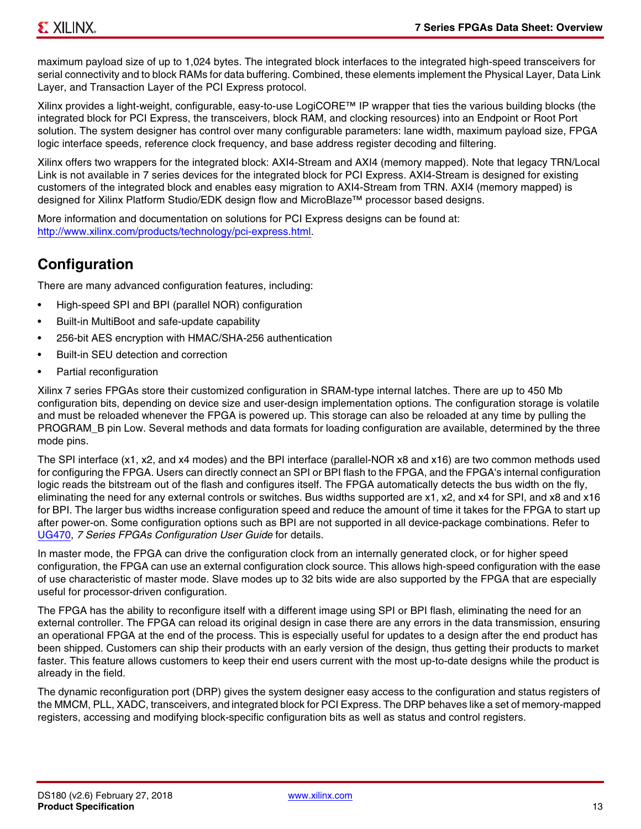maximum payload size of up to 1,024 bytes. The integrated block interfaces to the integrated high-speed transceivers for serial connectivity and to block RAMs for data buffering. Combined, these elements implement the Physical Layer, Data Link Layer, and Transaction Layer of the PCI Express protocol.

Xilinx provides a light-weight, configurable, easy-to-use LogiCORE™ IP wrapper that ties the various building blocks (the integrated block for PCI Express, the transceivers, block RAM, and clocking resources) into an Endpoint or Root Port solution. The system designer has control over many configurable parameters: lane width, maximum payload size, FPGA logic interface speeds, reference clock frequency, and base address register decoding and filtering.

Xilinx offers two wrappers for the integrated block: AXI4-Stream and AXI4 (memory mapped). Note that legacy TRN/Local Link is not available in 7 series devices for the integrated block for PCI Express. AXI4-Stream is designed for existing customers of the integrated block and enables easy migration to AXI4-Stream from TRN. AXI4 (memory mapped) is designed for Xilinx Platform Studio/EDK design flow and MicroBlaze™ processor based designs.

More information and documentation on solutions for PCI Express designs can be found at: http://www.xilinx.com/products/technology/pci-express.html.

# **Configuration**

There are many advanced configuration features, including:

- High-speed SPI and BPI (parallel NOR) configuration
- Built-in MultiBoot and safe-update capability
- 256-bit AES encryption with HMAC/SHA-256 authentication
- Built-in SEU detection and correction
- Partial reconfiguration

Xilinx 7 series FPGAs store their customized configuration in SRAM-type internal latches. There are up to 450 Mb configuration bits, depending on device size and user-design implementation options. The configuration storage is volatile and must be reloaded whenever the FPGA is powered up. This storage can also be reloaded at any time by pulling the PROGRAM\_B pin Low. Several methods and data formats for loading configuration are available, determined by the three mode pins.

The SPI interface (x1, x2, and x4 modes) and the BPI interface (parallel-NOR x8 and x16) are two common methods used for configuring the FPGA. Users can directly connect an SPI or BPI flash to the FPGA, and the FPGA's internal configuration logic reads the bitstream out of the flash and configures itself. The FPGA automatically detects the bus width on the fly, eliminating the need for any external controls or switches. Bus widths supported are x1, x2, and x4 for SPI, and x8 and x16 for BPI. The larger bus widths increase configuration speed and reduce the amount of time it takes for the FPGA to start up after power-on. Some configuration options such as BPI are not supported in all device-package combinations. Refer to UG470, *7 Series FPGAs Configuration User Guide* for details.

In master mode, the FPGA can drive the configuration clock from an internally generated clock, or for higher speed configuration, the FPGA can use an external configuration clock source. This allows high-speed configuration with the ease of use characteristic of master mode. Slave modes up to 32 bits wide are also supported by the FPGA that are especially useful for processor-driven configuration.

The FPGA has the ability to reconfigure itself with a different image using SPI or BPI flash, eliminating the need for an external controller. The FPGA can reload its original design in case there are any errors in the data transmission, ensuring an operational FPGA at the end of the process. This is especially useful for updates to a design after the end product has been shipped. Customers can ship their products with an early version of the design, thus getting their products to market faster. This feature allows customers to keep their end users current with the most up-to-date designs while the product is already in the field.

The dynamic reconfiguration port (DRP) gives the system designer easy access to the configuration and status registers of the MMCM, PLL, XADC, transceivers, and integrated block for PCI Express. The DRP behaves like a set of memory-mapped registers, accessing and modifying block-specific configuration bits as well as status and control registers.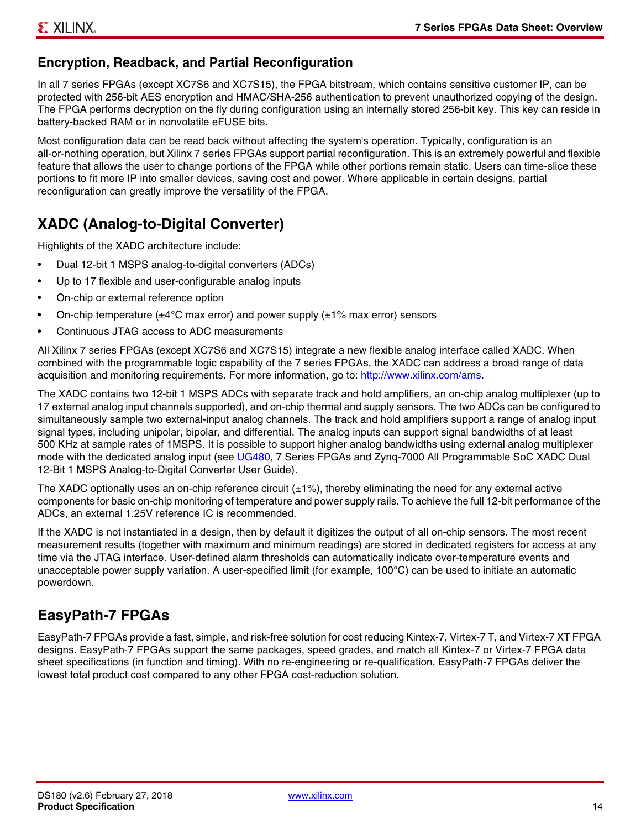# **Encryption, Readback, and Partial Reconfiguration**

In all 7 series FPGAs (except XC7S6 and XC7S15), the FPGA bitstream, which contains sensitive customer IP, can be protected with 256-bit AES encryption and HMAC/SHA-256 authentication to prevent unauthorized copying of the design. The FPGA performs decryption on the fly during configuration using an internally stored 256-bit key. This key can reside in battery-backed RAM or in nonvolatile eFUSE bits.

Most configuration data can be read back without affecting the system's operation. Typically, configuration is an all-or-nothing operation, but Xilinx 7 series FPGAs support partial reconfiguration. This is an extremely powerful and flexible feature that allows the user to change portions of the FPGA while other portions remain static. Users can time-slice these portions to fit more IP into smaller devices, saving cost and power. Where applicable in certain designs, partial reconfiguration can greatly improve the versatility of the FPGA.

# **XADC (Analog-to-Digital Converter)**

Highlights of the XADC architecture include:

- Dual 12-bit 1 MSPS analog-to-digital converters (ADCs)
- Up to 17 flexible and user-configurable analog inputs
- On-chip or external reference option
- On-chip temperature ( $\pm 4^{\circ}$ C max error) and power supply ( $\pm 1\%$  max error) sensors
- Continuous JTAG access to ADC measurements

All Xilinx 7 series FPGAs (except XC7S6 and XC7S15) integrate a new flexible analog interface called XADC. When combined with the programmable logic capability of the 7 series FPGAs, the XADC can address a broad range of data acquisition and monitoring requirements. For more information, go to: http://www.xilinx.com/ams.

The XADC contains two 12-bit 1 MSPS ADCs with separate track and hold amplifiers, an on-chip analog multiplexer (up to 17 external analog input channels supported), and on-chip thermal and supply sensors. The two ADCs can be configured to simultaneously sample two external-input analog channels. The track and hold amplifiers support a range of analog input signal types, including unipolar, bipolar, and differential. The analog inputs can support signal bandwidths of at least 500 KHz at sample rates of 1MSPS. It is possible to support higher analog bandwidths using external analog multiplexer mode with the dedicated analog input (see UG480, 7 Series FPGAs and Zynq-7000 All Programmable SoC XADC Dual 12-Bit 1 MSPS Analog-to-Digital Converter User Guide)*.*

The XADC optionally uses an on-chip reference circuit  $(\pm 1\%)$ , thereby eliminating the need for any external active components for basic on-chip monitoring of temperature and power supply rails. To achieve the full 12-bit performance of the ADCs, an external 1.25V reference IC is recommended.

If the XADC is not instantiated in a design, then by default it digitizes the output of all on-chip sensors. The most recent measurement results (together with maximum and minimum readings) are stored in dedicated registers for access at any time via the JTAG interface. User-defined alarm thresholds can automatically indicate over-temperature events and unacceptable power supply variation. A user-specified limit (for example, 100°C) can be used to initiate an automatic powerdown.

# **EasyPath-7 FPGAs**

EasyPath-7 FPGAs provide a fast, simple, and risk-free solution for cost reducing Kintex-7, Virtex-7 T, and Virtex-7 XT FPGA designs. EasyPath-7 FPGAs support the same packages, speed grades, and match all Kintex-7 or Virtex-7 FPGA data sheet specifications (in function and timing). With no re-engineering or re-qualification, EasyPath-7 FPGAs deliver the lowest total product cost compared to any other FPGA cost-reduction solution.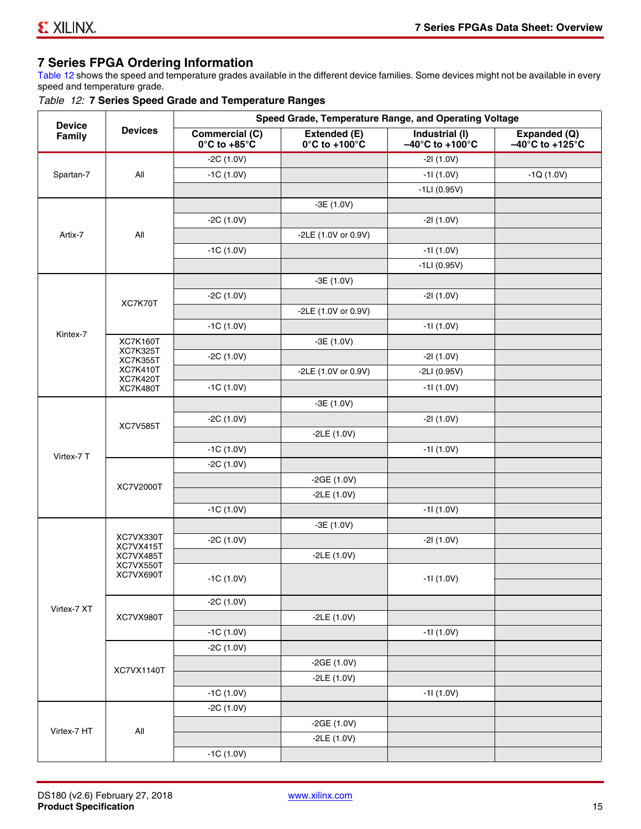# **7 Series FPGA Ordering Information**

Table 12 shows the speed and temperature grades available in the different device families. Some devices might not be available in every speed and temperature grade.

|  |  |  |  |  |  | Table 12: 7 Series Speed Grade and Temperature Ranges |  |
|--|--|--|--|--|--|-------------------------------------------------------|--|
|--|--|--|--|--|--|-------------------------------------------------------|--|

| <b>Device</b><br>Family | <b>Devices</b>                     | Speed Grade, Temperature Range, and Operating Voltage  |                                                    |                                                        |                                                      |
|-------------------------|------------------------------------|--------------------------------------------------------|----------------------------------------------------|--------------------------------------------------------|------------------------------------------------------|
|                         |                                    | <b>Commercial (C)</b><br>$0^\circ$ C to +85 $^\circ$ C | Extended (E)<br>$0^{\circ}$ C to +100 $^{\circ}$ C | Industrial (I)<br>$-40^{\circ}$ C to +100 $^{\circ}$ C | Expanded (Q)<br>$-40^{\circ}$ C to +125 $^{\circ}$ C |
|                         |                                    | $-2C(1.0V)$                                            |                                                    | $-21(1.0V)$                                            |                                                      |
| Spartan-7               | All                                | $-1C(1.0V)$                                            |                                                    | $-11(1.0V)$                                            | $-1Q(1.0V)$                                          |
|                         |                                    |                                                        |                                                    | $-1LI(0.95V)$                                          |                                                      |
|                         | All                                |                                                        | $-3E(1.0V)$                                        |                                                        |                                                      |
|                         |                                    | $-2C(1.0V)$                                            |                                                    | $-21(1.0V)$                                            |                                                      |
| Artix-7                 |                                    |                                                        | -2LE (1.0V or 0.9V)                                |                                                        |                                                      |
|                         |                                    | $-1C(1.0V)$                                            |                                                    | $-11(1.0V)$                                            |                                                      |
|                         |                                    |                                                        |                                                    | $-1LI(0.95V)$                                          |                                                      |
|                         | XC7K70T                            |                                                        | $-3E(1.0V)$                                        |                                                        |                                                      |
|                         |                                    | $-2C(1.0V)$                                            |                                                    | $-21(1.0V)$                                            |                                                      |
|                         |                                    |                                                        | -2LE (1.0V or 0.9V)                                |                                                        |                                                      |
|                         |                                    | $-1C(1.0V)$                                            |                                                    | $-11(1.0V)$                                            |                                                      |
| Kintex-7                | <b>XC7K160T</b>                    |                                                        | $-3E(1.0V)$                                        |                                                        |                                                      |
|                         | <b>XC7K325T</b><br><b>XC7K355T</b> | $-2C(1.0V)$                                            |                                                    | $-21(1.0V)$                                            |                                                      |
|                         | <b>XC7K410T</b>                    |                                                        | -2LE (1.0V or 0.9V)                                | $-2LI(0.95V)$                                          |                                                      |
|                         | <b>XC7K420T</b><br><b>XC7K480T</b> | $-1C(1.0V)$                                            |                                                    | $-11(1.0V)$                                            |                                                      |
|                         |                                    |                                                        | $-3E(1.0V)$                                        |                                                        |                                                      |
|                         | <b>XC7V585T</b>                    | $-2C(1.0V)$                                            |                                                    | $-21(1.0V)$                                            |                                                      |
|                         |                                    |                                                        | $-2LE(1.0V)$                                       |                                                        |                                                      |
|                         |                                    | $-1C(1.0V)$                                            |                                                    | $-11(1.0V)$                                            |                                                      |
| Virtex-7 T              |                                    | $-2C(1.0V)$                                            |                                                    |                                                        |                                                      |
|                         | XC7V2000T                          |                                                        | $-2GE(1.0V)$                                       |                                                        |                                                      |
|                         |                                    |                                                        | $-2LE(1.0V)$                                       |                                                        |                                                      |
|                         |                                    | $-1C(1.0V)$                                            |                                                    | $-11(1.0V)$                                            |                                                      |
|                         |                                    |                                                        | $-3E(1.0V)$                                        |                                                        |                                                      |
|                         | XC7VX330T                          | $-2C(1.0V)$                                            |                                                    | $-21(1.0V)$                                            |                                                      |
|                         | XC7VX415T<br>XC7VX485T             |                                                        | $-2LE(1.0V)$                                       |                                                        |                                                      |
|                         | XC7VX550T                          |                                                        |                                                    |                                                        |                                                      |
|                         | XC7VX690T                          | $-1C(1.0V)$                                            |                                                    | $-11(1.0V)$                                            |                                                      |
|                         | XC7VX980T                          | $-2C(1.0V)$                                            |                                                    |                                                        |                                                      |
| Virtex-7 XT             |                                    |                                                        | $-2LE(1.0V)$                                       |                                                        |                                                      |
|                         |                                    | $-1C(1.0V)$                                            |                                                    | $-11(1.0V)$                                            |                                                      |
|                         |                                    | $-2C(1.0V)$                                            |                                                    |                                                        |                                                      |
|                         | XC7VX1140T                         |                                                        | $-2GE(1.0V)$                                       |                                                        |                                                      |
|                         |                                    |                                                        | $-2LE(1.0V)$                                       |                                                        |                                                      |
|                         |                                    | $-1C(1.0V)$                                            |                                                    | $-11(1.0V)$                                            |                                                      |
| Virtex-7 HT             |                                    | $-2C(1.0V)$                                            |                                                    |                                                        |                                                      |
|                         | All                                |                                                        | $-2GE(1.0V)$                                       |                                                        |                                                      |
|                         |                                    |                                                        | $-2LE(1.0V)$                                       |                                                        |                                                      |
|                         |                                    | $-1C(1.0V)$                                            |                                                    |                                                        |                                                      |
|                         |                                    |                                                        |                                                    |                                                        |                                                      |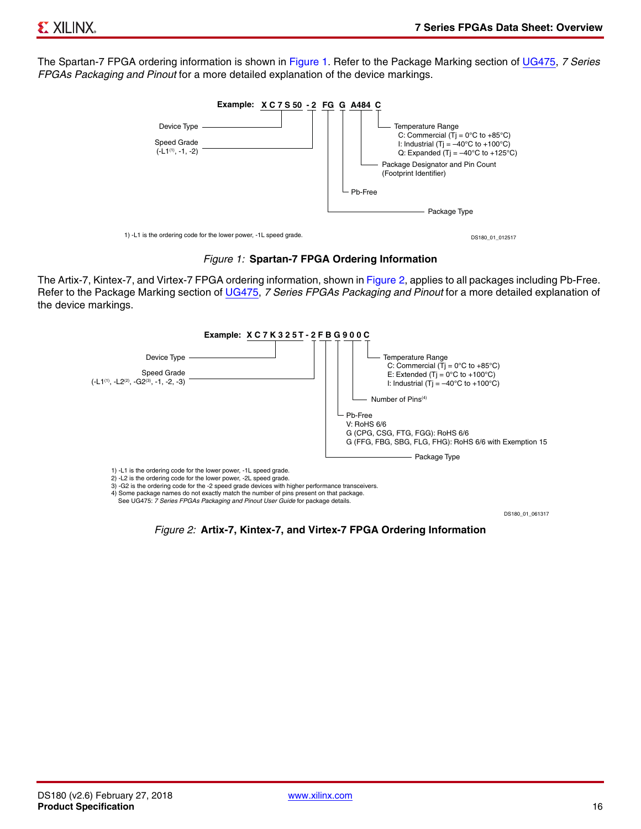The Spartan-7 FPGA ordering information is shown in Figure 1. Refer to the Package Marking section of UG475, *7 Series FPGAs Packaging and Pinout* for a more detailed explanation of the device markings.





The Artix-7, Kintex-7, and Virtex-7 FPGA ordering information, shown in Figure 2, applies to all packages including Pb-Free. Refer to the Package Marking section of UG475, *7 Series FPGAs Packaging and Pinout* for a more detailed explanation of the device markings.



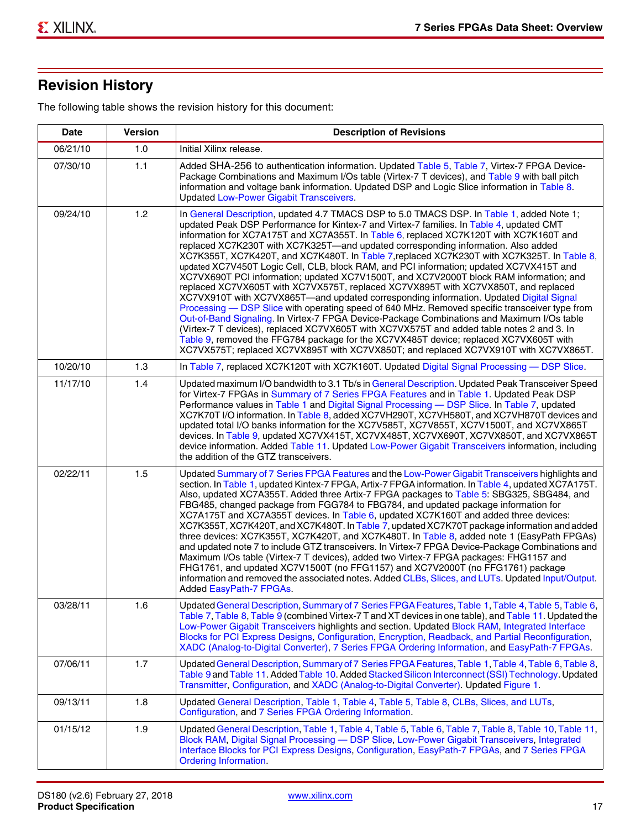# **Revision History**

The following table shows the revision history for this document:

| <b>Date</b> | <b>Version</b> | <b>Description of Revisions</b>                                                                                                                                                                                                                                                                                                                                                                                                                                                                                                                                                                                                                                                                                                                                                                                                                                                                                                                                                                                                                                                                                                                                                                                                                                                                                       |  |
|-------------|----------------|-----------------------------------------------------------------------------------------------------------------------------------------------------------------------------------------------------------------------------------------------------------------------------------------------------------------------------------------------------------------------------------------------------------------------------------------------------------------------------------------------------------------------------------------------------------------------------------------------------------------------------------------------------------------------------------------------------------------------------------------------------------------------------------------------------------------------------------------------------------------------------------------------------------------------------------------------------------------------------------------------------------------------------------------------------------------------------------------------------------------------------------------------------------------------------------------------------------------------------------------------------------------------------------------------------------------------|--|
| 06/21/10    | 1.0            | Initial Xilinx release.                                                                                                                                                                                                                                                                                                                                                                                                                                                                                                                                                                                                                                                                                                                                                                                                                                                                                                                                                                                                                                                                                                                                                                                                                                                                                               |  |
| 07/30/10    | 1.1            | Added SHA-256 to authentication information. Updated Table 5, Table 7, Virtex-7 FPGA Device-<br>Package Combinations and Maximum I/Os table (Virtex-7 T devices), and Table 9 with ball pitch<br>information and voltage bank information. Updated DSP and Logic Slice information in Table 8.<br><b>Updated Low-Power Gigabit Transceivers.</b>                                                                                                                                                                                                                                                                                                                                                                                                                                                                                                                                                                                                                                                                                                                                                                                                                                                                                                                                                                      |  |
| 09/24/10    | 1.2            | In General Description, updated 4.7 TMACS DSP to 5.0 TMACS DSP. In Table 1, added Note 1;<br>updated Peak DSP Performance for Kintex-7 and Virtex-7 families. In Table 4, updated CMT<br>information for XC7A175T and XC7A355T. In Table 6, replaced XC7K120T with XC7K160T and<br>replaced XC7K230T with XC7K325T-and updated corresponding information. Also added<br>XC7K355T, XC7K420T, and XC7K480T. In Table 7, replaced XC7K230T with XC7K325T. In Table 8,<br>updated XC7V450T Logic Cell, CLB, block RAM, and PCI information; updated XC7VX415T and<br>XC7VX690T PCI information; updated XC7V1500T, and XC7V2000T block RAM information; and<br>replaced XC7VX605T with XC7VX575T, replaced XC7VX895T with XC7VX850T, and replaced<br>XC7VX910T with XC7VX865T—and updated corresponding information. Updated Digital Signal<br>Processing - DSP Slice with operating speed of 640 MHz. Removed specific transceiver type from<br>Out-of-Band Signaling. In Virtex-7 FPGA Device-Package Combinations and Maximum I/Os table<br>(Virtex-7 T devices), replaced XC7VX605T with XC7VX575T and added table notes 2 and 3. In<br>Table 9, removed the FFG784 package for the XC7VX485T device; replaced XC7VX605T with<br>XC7VX575T; replaced XC7VX895T with XC7VX850T; and replaced XC7VX910T with XC7VX865T. |  |
| 10/20/10    | 1.3            | In Table 7, replaced XC7K120T with XC7K160T. Updated Digital Signal Processing - DSP Slice.                                                                                                                                                                                                                                                                                                                                                                                                                                                                                                                                                                                                                                                                                                                                                                                                                                                                                                                                                                                                                                                                                                                                                                                                                           |  |
| 11/17/10    | 1.4            | Updated maximum I/O bandwidth to 3.1 Tb/s in General Description. Updated Peak Transceiver Speed<br>for Virtex-7 FPGAs in Summary of 7 Series FPGA Features and in Table 1. Updated Peak DSP<br>Performance values in Table 1 and Digital Signal Processing - DSP Slice. In Table 7, updated<br>XC7K70T I/O information. In Table 8, added XC7VH290T, XC7VH580T, and XC7VH870T devices and<br>updated total I/O banks information for the XC7V585T, XC7V855T, XC7V1500T, and XC7VX865T<br>devices. In Table 9, updated XC7VX415T, XC7VX485T, XC7VX690T, XC7VX850T, and XC7VX865T<br>device information. Added Table 11. Updated Low-Power Gigabit Transceivers information, including<br>the addition of the GTZ transceivers.                                                                                                                                                                                                                                                                                                                                                                                                                                                                                                                                                                                        |  |
| 02/22/11    | 1.5            | Updated Summary of 7 Series FPGA Features and the Low-Power Gigabit Transceivers highlights and<br>section. In Table 1, updated Kintex-7 FPGA, Artix-7 FPGA information. In Table 4, updated XC7A175T.<br>Also, updated XC7A355T. Added three Artix-7 FPGA packages to Table 5: SBG325, SBG484, and<br>FBG485, changed package from FGG784 to FBG784, and updated package information for<br>XC7A175T and XC7A355T devices. In Table 6, updated XC7K160T and added three devices:<br>XC7K355T, XC7K420T, and XC7K480T. In Table 7, updated XC7K70T package information and added<br>three devices: XC7K355T, XC7K420T, and XC7K480T. In Table 8, added note 1 (EasyPath FPGAs)<br>and updated note 7 to include GTZ transceivers. In Virtex-7 FPGA Device-Package Combinations and<br>Maximum I/Os table (Virtex-7 T devices), added two Virtex-7 FPGA packages: FHG1157 and<br>FHG1761, and updated XC7V1500T (no FFG1157) and XC7V2000T (no FFG1761) package<br>information and removed the associated notes. Added CLBs, Slices, and LUTs. Updated Input/Output.<br>Added EasyPath-7 FPGAs.                                                                                                                                                                                                                        |  |
| 03/28/11    | 1.6            | Updated General Description, Summary of 7 Series FPGA Features, Table 1, Table 4, Table 5, Table 6,<br>Table 7, Table 8, Table 9 (combined Virtex-7 T and XT devices in one table), and Table 11. Updated the<br>Low-Power Gigabit Transceivers highlights and section. Updated Block RAM, Integrated Interface<br>Blocks for PCI Express Designs, Configuration, Encryption, Readback, and Partial Reconfiguration,<br>XADC (Analog-to-Digital Converter), 7 Series FPGA Ordering Information, and EasyPath-7 FPGAs.                                                                                                                                                                                                                                                                                                                                                                                                                                                                                                                                                                                                                                                                                                                                                                                                 |  |
| 07/06/11    | 1.7            | Updated General Description, Summary of 7 Series FPGA Features, Table 1, Table 4, Table 6, Table 8,<br>Table 9 and Table 11. Added Table 10. Added Stacked Silicon Interconnect (SSI) Technology. Updated<br>Transmitter, Configuration, and XADC (Analog-to-Digital Converter). Updated Figure 1.                                                                                                                                                                                                                                                                                                                                                                                                                                                                                                                                                                                                                                                                                                                                                                                                                                                                                                                                                                                                                    |  |
| 09/13/11    | 1.8            | Updated General Description, Table 1, Table 4, Table 5, Table 8, CLBs, Slices, and LUTs,<br>Configuration, and 7 Series FPGA Ordering Information.                                                                                                                                                                                                                                                                                                                                                                                                                                                                                                                                                                                                                                                                                                                                                                                                                                                                                                                                                                                                                                                                                                                                                                    |  |
| 01/15/12    | 1.9            | Updated General Description, Table 1, Table 4, Table 5, Table 6, Table 7, Table 8, Table 10, Table 11,<br>Block RAM, Digital Signal Processing - DSP Slice, Low-Power Gigabit Transceivers, Integrated<br>Interface Blocks for PCI Express Designs, Configuration, EasyPath-7 FPGAs, and 7 Series FPGA<br><b>Ordering Information.</b>                                                                                                                                                                                                                                                                                                                                                                                                                                                                                                                                                                                                                                                                                                                                                                                                                                                                                                                                                                                |  |